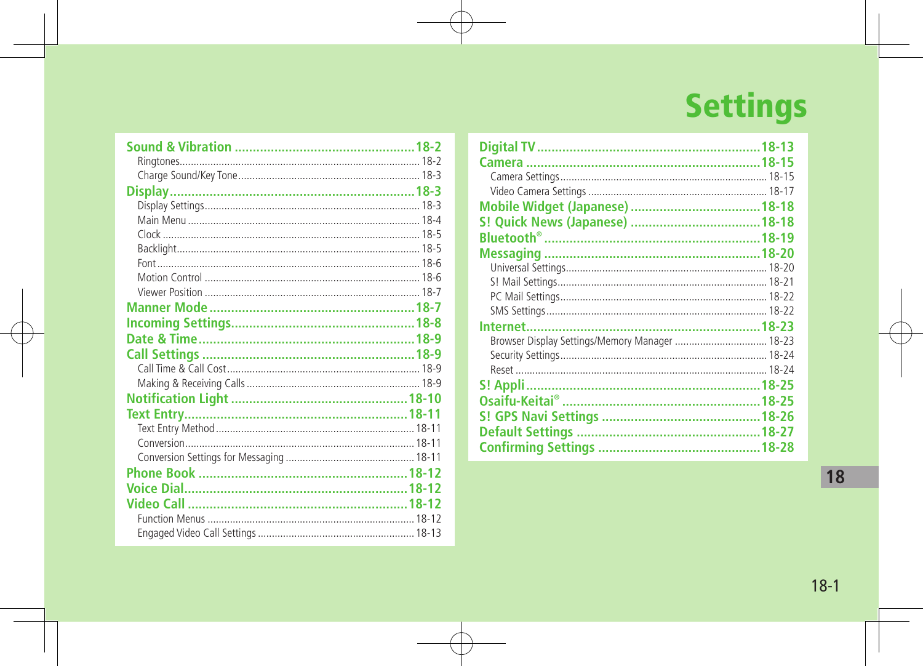# **Settings**

| Browser Display Settings/Memory Manager  18-23 |  |
|------------------------------------------------|--|
|                                                |  |
|                                                |  |
|                                                |  |
|                                                |  |
|                                                |  |
|                                                |  |
|                                                |  |
|                                                |  |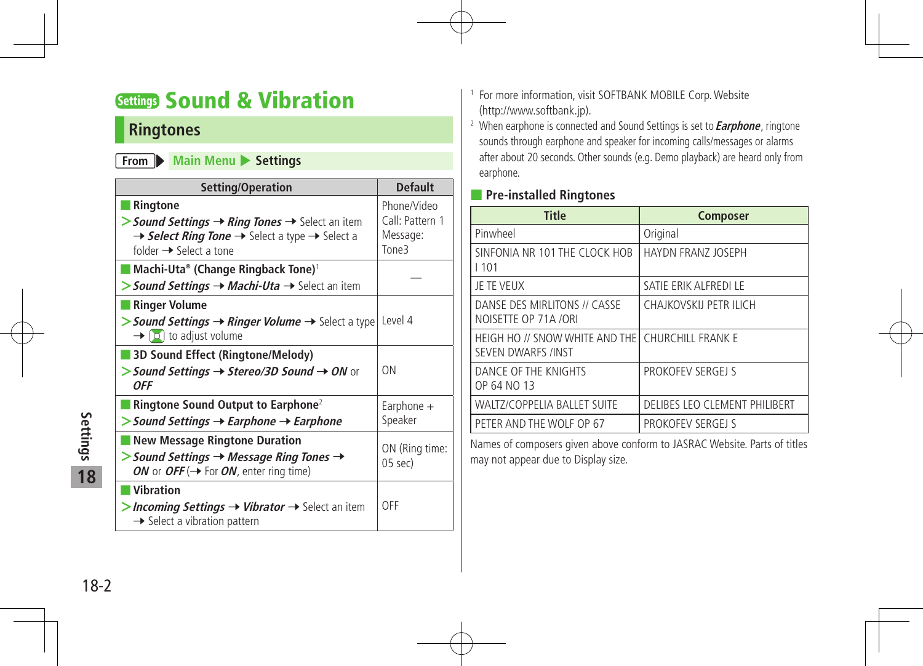### Settings Sound & Vibration

#### **Ringtones**

#### **From Main Menu** Settings

| Setting/Operation                                                                                                                                                                                                    | <b>Default</b>                                      |
|----------------------------------------------------------------------------------------------------------------------------------------------------------------------------------------------------------------------|-----------------------------------------------------|
| <b>Ringtone</b><br>> Sound Settings $\rightarrow$ Ring Tones $\rightarrow$ Select an item<br>$\rightarrow$ Select Ring Tone $\rightarrow$ Select a type $\rightarrow$ Select a<br>folder $\rightarrow$ Select a tone | Phone/Video<br>Call: Pattern 1<br>Message:<br>Tone3 |
| Machi-Uta® (Change Ringback Tone) <sup>1</sup><br>> Sound Settings $\rightarrow$ Machi-Uta $\rightarrow$ Select an item                                                                                              |                                                     |
| <b>Ringer Volume</b><br>> Sound Settings -> Ringer Volume -> Select a type<br>$\rightarrow$ [O] to adjust volume                                                                                                     | Level 4                                             |
| 3D Sound Effect (Ringtone/Melody)<br>> Sound Settings $\rightarrow$ Stereo/3D Sound $\rightarrow$ ON or<br>0FF                                                                                                       | <b>ON</b>                                           |
| Ringtone Sound Output to Earphone <sup>2</sup><br>$\gt$ Sound Settings $\rightarrow$ Earphone $\rightarrow$ Earphone                                                                                                 | Earphone $+$<br>Speaker                             |
| <b>New Message Ringtone Duration</b><br>$>$ Sound Settings $\rightarrow$ Message Ring Tones $\rightarrow$<br>ON or OFF ( $\rightarrow$ For ON, enter ring time)                                                      | ON (Ring time:<br>05 sec)                           |
| <b>Vibration</b><br>>Incoming Settings $\rightarrow$ Vibrator $\rightarrow$ Select an item<br>$\rightarrow$ Select a vibration pattern                                                                               | OFF                                                 |

- <sup>1</sup> For more information, visit SOFTBANK MOBILE Corp.Website (http://www.softbank.jp).
- <sup>2</sup> When earphone is connected and Sound Settings is set to **Earphone**, ringtone sounds through earphone and speaker for incoming calls/messages or alarms after about 20 seconds. Other sounds (e.g. Demo playback) are heard only from earphone.

#### ■ **Pre-installed Ringtones**

| <b>Title</b>                                                | <b>Composer</b>               |
|-------------------------------------------------------------|-------------------------------|
| Pinwheel                                                    | Original                      |
| SINFONIA NR 101 THE CLOCK HOB<br>1101                       | HAYDN FRANZ JOSEPH            |
| JE TE VEUX                                                  | SATIE ERIK ALFREDI LE         |
| DANSE DES MIRLITONS // CASSE<br>NOISETTE OP 71A /ORI        | CHAJKOVSKIJ PETR ILICH        |
| HEIGH HO // SNOW WHITE AND THE<br><b>SEVEN DWARFS /INST</b> | CHURCHILL FRANK E             |
| DANCE OF THE KNIGHTS<br>OP 64 NO 13                         | PROKOFEV SERGEJ S             |
| <b>WALTZ/COPPELIA BALLET SUITE</b>                          | DELIBES LEO CLEMENT PHILIBERT |
| PETER AND THE WOLF OP 67                                    | PROKOFEV SERGEJ S             |

Names of composers given above conform to JASRAC Website. Parts of titles may not appear due to Display size.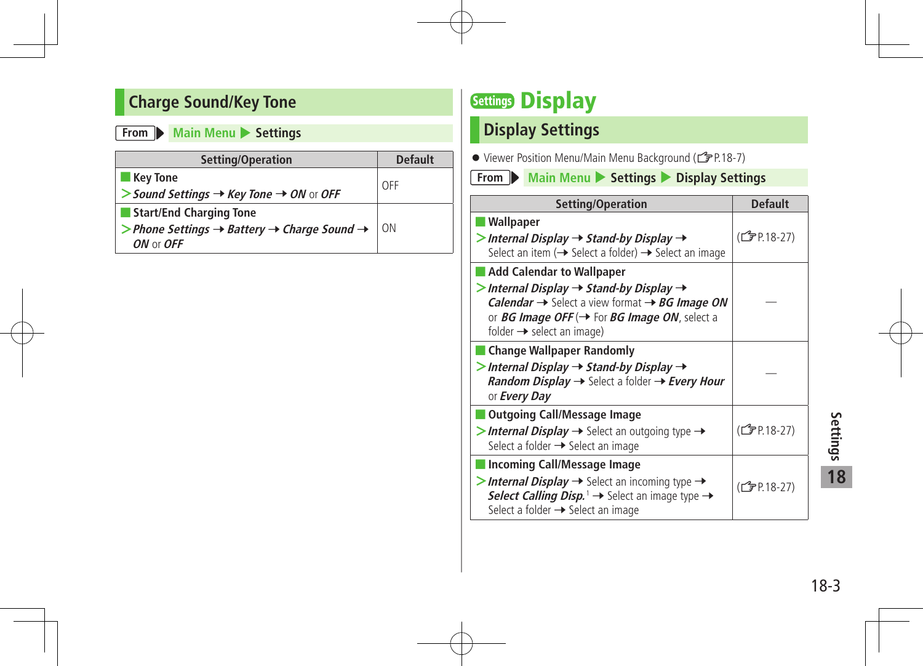### **Charge Sound/Key Tone**

#### **From Main Menu >** Settings

| Setting/Operation                                                                  | <b>Default</b> |
|------------------------------------------------------------------------------------|----------------|
| Key Tone                                                                           | OFF            |
| $>$ Sound Settings $\rightarrow$ Key Tone $\rightarrow$ ON or OFF                  |                |
| Start/End Charging Tone                                                            |                |
| > Phone Settings $\rightarrow$ Battery $\rightarrow$ Charge Sound $\rightarrow$ 0N |                |
| $ON$ or $OFF$                                                                      |                |

### **Settings Display**

### **Display Settings**

● Viewer Position Menu/Main Menu Background (<a>Car<br/>2-7)

**From** Main Menu > Settings > Display Settings

| Setting/Operation                                                                                                                                                                                                                                                                                              | <b>Default</b> |
|----------------------------------------------------------------------------------------------------------------------------------------------------------------------------------------------------------------------------------------------------------------------------------------------------------------|----------------|
| Wallpaper<br>$>$ Internal Display $\rightarrow$ Stand-by Display $\rightarrow$<br>Select an item $\rightarrow$ Select a folder) $\rightarrow$ Select an image                                                                                                                                                  | (CJP.18-27)    |
| Add Calendar to Wallpaper<br>$>$ Internal Display $\rightarrow$ Stand-by Display $\rightarrow$<br><b>Calendar <math>\rightarrow</math></b> Select a view format $\rightarrow$ BG Image ON<br>or <i>BG Image OFF</i> ( $\rightarrow$ For <i>BG Image ON</i> , select a<br>folder $\rightarrow$ select an image) |                |
| ■ Change Wallpaper Randomly<br>$>$ Internal Display $\rightarrow$ Stand-by Display $\rightarrow$<br>Random Display > Select a folder > Every Hour<br>or <b>Every Day</b>                                                                                                                                       |                |
| ■ Outgoing Call/Message Image<br><b>&gt;Internal Display <math>\rightarrow</math></b> Select an outgoing type $\rightarrow$<br>Select a folder → Select an image                                                                                                                                               | (子P.18-27)     |
| Incoming Call/Message Image<br>>Internal Display $\rightarrow$ Select an incoming type $\rightarrow$<br><b>Select Calling Disp.</b> $\rightarrow$ Select an image type $\rightarrow$<br>Select a folder → Select an image                                                                                      | (CJP.18-27)    |

18-3**Settings** Settings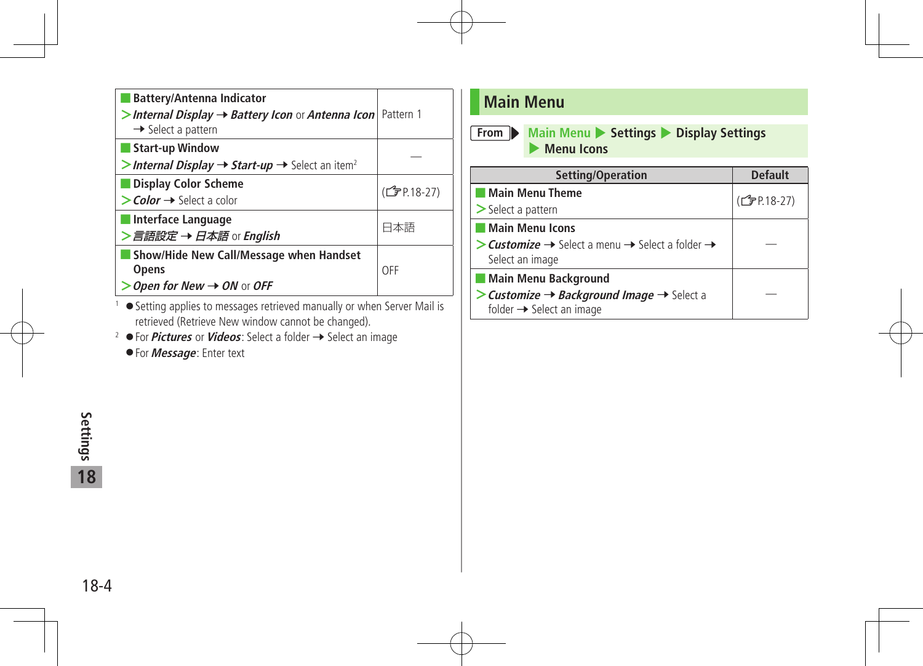| Battery/Antenna Indicator<br>> Internal Display $\rightarrow$ Battery Icon or Antenna Icon   Pattern 1<br>$\rightarrow$ Select a pattern |                          |
|------------------------------------------------------------------------------------------------------------------------------------------|--------------------------|
| <b>Start-up Window</b><br>>Internal Display $\rightarrow$ Start-up $\rightarrow$ Select an item <sup>2</sup>                             |                          |
| Display Color Scheme<br>$\gt$ Color $\rightarrow$ Select a color                                                                         | (C <sub>J</sub> P.18-27) |
| ■ Interface Language<br>>言語設定 → 日本語 or English                                                                                           | 日本語                      |
| Show/Hide New Call/Message when Handset<br><b>Opens</b><br>Open for New $\rightarrow$ ON or OFF                                          | OFF                      |
| $\mathbf{H}$                                                                                                                             |                          |

<sup>1</sup> ● Setting applies to messages retrieved manually or when Server Mail is retrieved (Retrieve New window cannot be changed).

<sup>2</sup> ● For *Pictures* or *Videos*: Select a folder → Select an image

◦ For **Message**: Enter text

### **Main Menu**

**From Main Menu** > Settings > Display Settings 4 **Menu Icons**

| Setting/Operation                                                                                         | <b>Default</b>            |
|-----------------------------------------------------------------------------------------------------------|---------------------------|
| l Main Menu Theme                                                                                         | (C <sub>J</sub> PP.18-27) |
| $\geq$ Select a pattern                                                                                   |                           |
| Main Menu Icons                                                                                           |                           |
| > Customize → Select a menu → Select a folder →<br>Select an image                                        |                           |
| Main Menu Background                                                                                      |                           |
| > Customize $\rightarrow$ Background Image $\rightarrow$ Select a<br>folder $\rightarrow$ Select an image |                           |

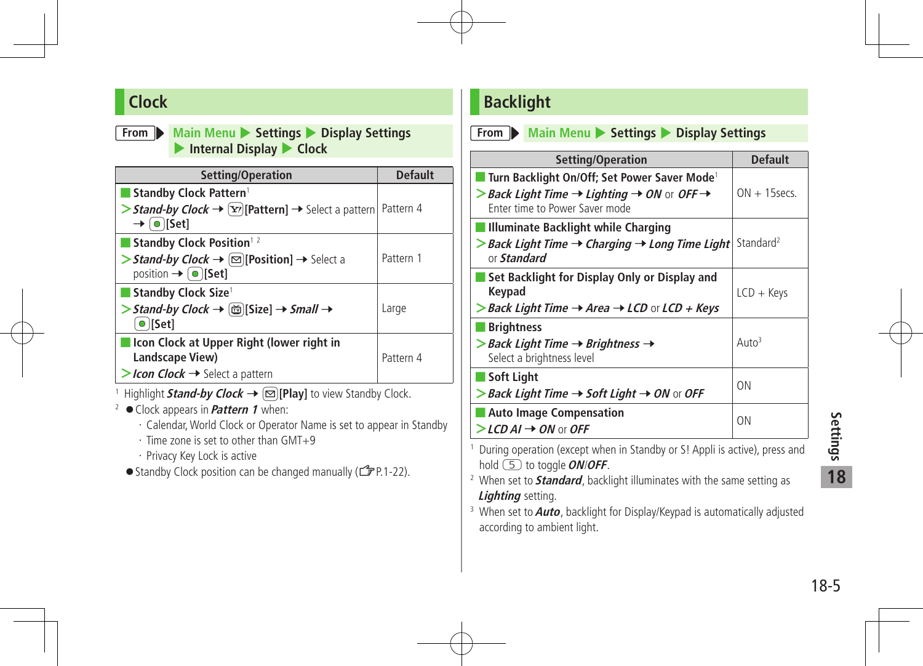#### **Clock**

#### **From Main Menu >** Settings **>** Display Settings ▶ Internal Display ▶ Clock

| Setting/Operation                                                                                                                                                              | <b>Default</b> |
|--------------------------------------------------------------------------------------------------------------------------------------------------------------------------------|----------------|
| <b>Standby Clock Pattern1</b><br>> Stand-by Clock $\rightarrow \lceil \overline{x'} \rceil$ [Pattern] $\rightarrow$ Select a pattern   Pattern 4<br>$\rightarrow$ o [Set]      |                |
| Standby Clock Position <sup>12</sup><br>> Stand-by Clock $\rightarrow \boxed{\odot}$ [Position] $\rightarrow$ Select a<br>position $\rightarrow$ $\lceil \bullet \rceil$ [Set] | Pattern 1      |
| Standby Clock Size <sup>1</sup><br>> Stand-by Clock $\rightarrow$ $\circledR$ [Size] $\rightarrow$ Small $\rightarrow$<br>$\bullet$   Set                                      | Large          |
| Icon Clock at Upper Right (lower right in<br>Landscape View)<br>>Icon Clock → Select a pattern                                                                                 | Pattern 4      |

<sup>1</sup> Highlight **Stand-by Clock**  $\rightarrow \Box$  [Play] to view Standby Clock.

- <sup>2</sup> ◦Clock appears in **Pattern 1** when:
	- ・Calendar,World Clock or Operator Name is set to appear in Standby
	- ・Time zone is set to other than GMT+9
	- ・Privacy Key Lock is active
	- Standby Clock position can be changed manually ( $\mathbb{C}$ P.1-22).

### **Backlight**

**From** Main Menu > Settings > Display Settings

| <b>Setting/Operation</b>                                                                                           | <b>Default</b>        |
|--------------------------------------------------------------------------------------------------------------------|-----------------------|
| ■ Turn Backlight On/Off; Set Power Saver Mode <sup>1</sup>                                                         |                       |
| > Back Light Time $\rightarrow$ Lighting $\rightarrow$ ON or OFF $\rightarrow$                                     | $ON + 15$ secs        |
| Enter time to Power Saver mode                                                                                     |                       |
| Illuminate Backlight while Charging                                                                                |                       |
| $\triangleright$ Back Light Time $\rightarrow$ Charging $\rightarrow$ Long Time Light<br>or <b>Standard</b>        | Standard <sup>2</sup> |
| Set Backlight for Display Only or Display and                                                                      |                       |
| Keypad                                                                                                             | $LCD + Keys$          |
| >Back Light Time $\rightarrow$ Area $\rightarrow$ LCD or LCD + Keys                                                |                       |
| <b>Brightness</b>                                                                                                  |                       |
| $>$ Back Light Time $\rightarrow$ Brightness $\rightarrow$<br>Select a brightness level                            | Auto <sup>3</sup>     |
| $\blacksquare$ Soft Light                                                                                          | <b>ON</b>             |
| > Back Light Time $\rightarrow$ Soft Light $\rightarrow$ ON or OFF                                                 |                       |
| <b>Auto Image Compensation</b>                                                                                     | ON                    |
| $\triangleright$ LCD AI $\rightarrow$ ON or OFF                                                                    |                       |
| During operation (except when in Standby or S! Appli is active), press and<br>hold $(5)$ to toggle <i>ON/OFF</i> . |                       |

- <sup>2</sup> When set to **Standard**, backlight illuminates with the same setting as **Lighting** setting.
- <sup>3</sup> When set to **Auto**, backlight for Display/Keypad is automatically adjusted according to ambient light.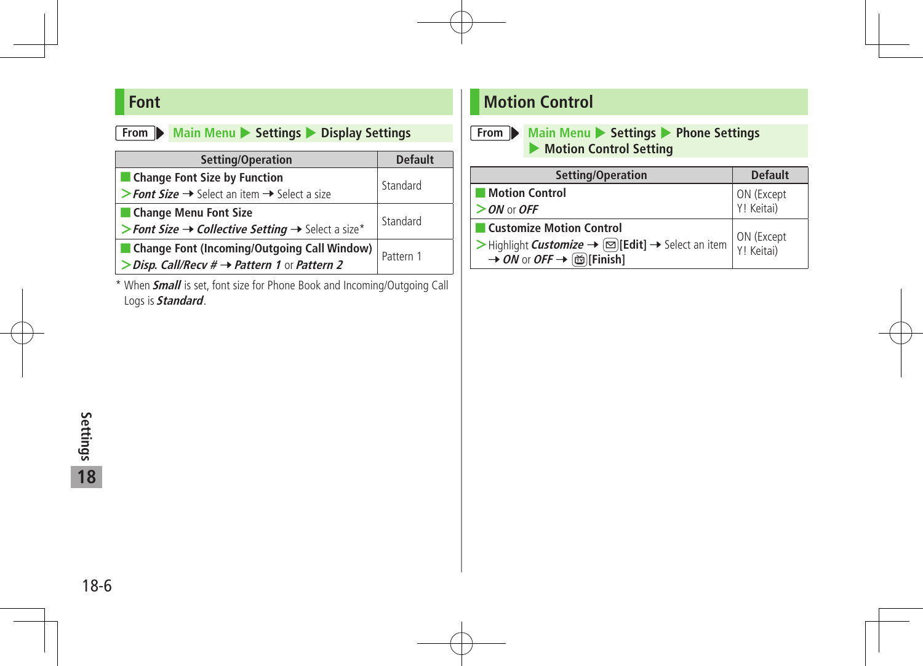### **Font**

|  | From Main Menu |  | Settings <i>T</i> |  |  | <b>Display Settings</b> |
|--|----------------|--|-------------------|--|--|-------------------------|
|--|----------------|--|-------------------|--|--|-------------------------|

| Setting/Operation                                                         | <b>Default</b> |  |
|---------------------------------------------------------------------------|----------------|--|
| Change Font Size by Function                                              | Standard       |  |
| > Font Size $\rightarrow$ Select an item $\rightarrow$ Select a size      |                |  |
| Change Menu Font Size                                                     |                |  |
| > Font Size $\rightarrow$ Collective Setting $\rightarrow$ Select a size* | Standard       |  |
| ■ Change Font (Incoming/Outgoing Call Window)                             | Pattern 1      |  |
| > Disp. Call/Recv $\# \rightarrow$ Pattern 1 or Pattern 2                 |                |  |

\* When **Small** is set, font size for Phone Book and Incoming/Outgoing Call Logs is **Standard**.

### **Motion Control**

**From Main Menu**  $\triangleright$  **Settings**  $\triangleright$  **Phone Settings** 4 **Motion Control Setting**

| Setting/Operation                                                                                                                                                                                | <b>Default</b>           |  |
|--------------------------------------------------------------------------------------------------------------------------------------------------------------------------------------------------|--------------------------|--|
| <b>Motion Control</b>                                                                                                                                                                            | ON (Except               |  |
| $>$ ON or OFF                                                                                                                                                                                    | Y! Keitai)               |  |
| <b>Customize Motion Control</b>                                                                                                                                                                  |                          |  |
| $\triangleright$ Highlight <i>Customize</i> $\rightarrow \lbrack \boxtimes \rbrack$ [Edit] $\rightarrow$ Select an item<br>$\rightarrow$ ON or OFF $\rightarrow$ ( $\overline{\omega}$ )[Finish] | ON (Except<br>Y! Keitai) |  |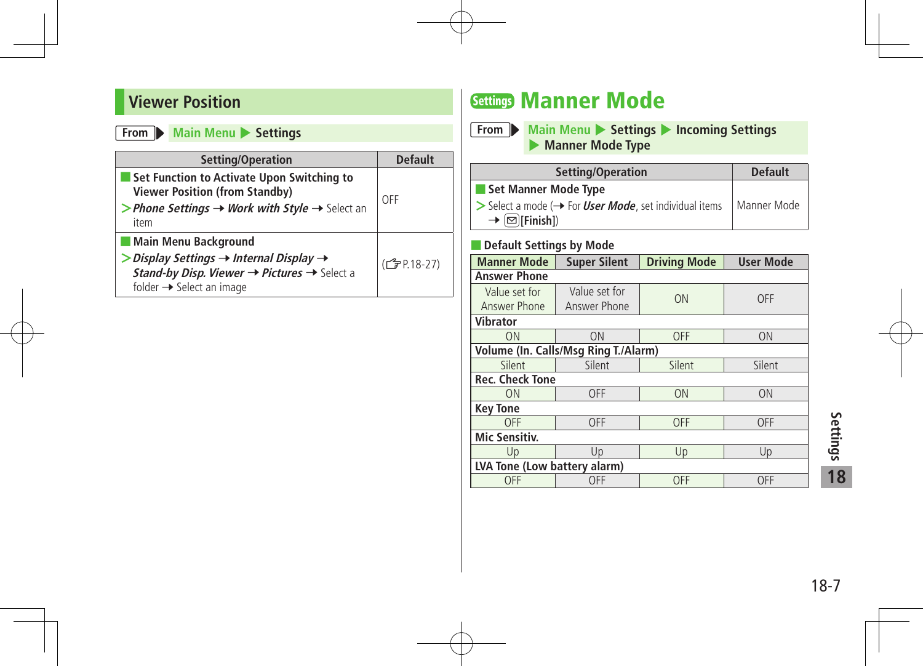#### **Viewer Position**

#### **From Main Menu >** Settings

| Setting/Operation                                                                                                                                                                                                     | <b>Default</b>           |
|-----------------------------------------------------------------------------------------------------------------------------------------------------------------------------------------------------------------------|--------------------------|
| Set Function to Activate Upon Switching to<br><b>Viewer Position (from Standby)</b><br>> Phone Settings $\rightarrow$ Work with Style $\rightarrow$ Select an<br>item                                                 | OFF                      |
| Main Menu Background<br>$\triangleright$ Display Settings $\rightarrow$ Internal Display $\rightarrow$<br>Stand-by Disp. Viewer $\rightarrow$ Pictures $\rightarrow$ Select a<br>folder $\rightarrow$ Select an image | (C <sub>J</sub> P.18-27) |

### Settings Manner Mode

**From Main Menu** > Settings > Incoming Settings 4 **Manner Mode Type**

| Setting/Operation                                                                          | <b>Default</b> |  |
|--------------------------------------------------------------------------------------------|----------------|--|
| Set Manner Mode Type                                                                       |                |  |
| $\triangleright$ Select a mode ( $\rightarrow$ For <i>User Mode</i> , set individual items | Manner Mode    |  |
| $\rightarrow \boxed{\infty}$ [Finish])                                                     |                |  |

#### ■ **Default Settings by Mode**

| <b>Manner Mode</b>           | <b>Super Silent</b>                  | <b>Driving Mode</b> | <b>User Mode</b> |  |
|------------------------------|--------------------------------------|---------------------|------------------|--|
| <b>Answer Phone</b>          |                                      |                     |                  |  |
| Value set for                | Value set for                        | ON                  | OFF              |  |
| Answer Phone                 | Answer Phone                         |                     |                  |  |
| <b>Vibrator</b>              |                                      |                     |                  |  |
| ON                           | ON                                   | OFF                 | ON               |  |
|                              | Volume (In. Calls/Msg Ring T./Alarm) |                     |                  |  |
| Silent                       | Silent                               | Silent              | Silent           |  |
| <b>Rec. Check Tone</b>       |                                      |                     |                  |  |
| ON                           | <b>OFF</b>                           | ON                  | ON               |  |
| <b>Key Tone</b>              |                                      |                     |                  |  |
| OFF                          | <b>OFF</b>                           | OFF                 | OFF              |  |
| Mic Sensitiv.                |                                      |                     |                  |  |
| Up                           | Up                                   | Up                  | Up               |  |
| LVA Tone (Low battery alarm) |                                      |                     |                  |  |
| <b>OFF</b>                   | <b>OFF</b>                           | OFF                 | <b>OFF</b>       |  |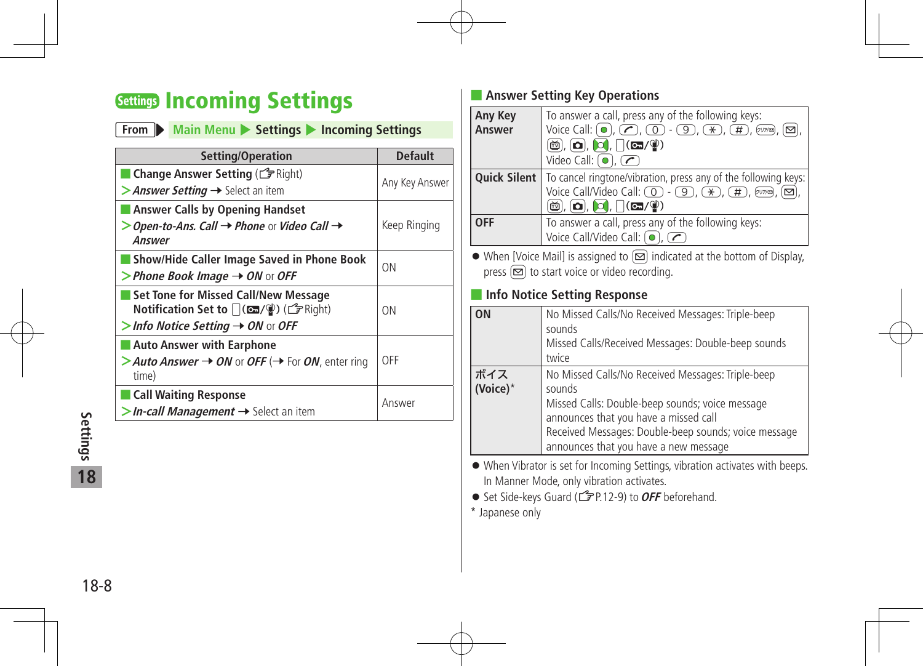### Settings Incoming Settings

| From Main Menu > Settings > Incoming Settings                                                                                            |                |  |
|------------------------------------------------------------------------------------------------------------------------------------------|----------------|--|
| Setting/Operation                                                                                                                        | <b>Default</b> |  |
| Change Answer Setting (C Right)<br>> Answer Setting $\rightarrow$ Select an item                                                         | Any Key Answer |  |
| <b>Answer Calls by Opening Handset</b><br>$>$ Open-to-Ans. Call $\rightarrow$ Phone or Video Call $\rightarrow$<br>Answer                | Keep Ringing   |  |
| Show/Hide Caller Image Saved in Phone Book<br>> Phone Book Image $\rightarrow$ ON or OFF                                                 | <b>ON</b>      |  |
| <b>Set Tone for Missed Call/New Message</b><br>Notification Set to   (四/(2) (子 Right)<br>$>$ Info Notice Setting $\rightarrow$ ON or OFF | ON             |  |
| <b>Auto Answer with Earphone</b><br>> Auto Answer $\rightarrow$ ON or OFF (→ For ON, enter ring<br>time)                                 | OFF            |  |
| <b>Call Waiting Response</b><br>$>$ In-call Management $\rightarrow$ Select an item                                                      | Answer         |  |

#### ■ **Answer Setting Key Operations**

| Any Key    | To answer a call, press any of the following keys:                                                                                                                                                                                               |
|------------|--------------------------------------------------------------------------------------------------------------------------------------------------------------------------------------------------------------------------------------------------|
| Answer     | Voice Call: $\left( \bullet \right)$ , $\left( \bullet \right)$ , $\left( \bullet \right)$ - $\left( \circ \right)$ , $\left( \circ \right)$ , $\left( \circ \right)$ , $\left( \circ \right)$ , $\left( \circ \right)$ , $\left( \circ \right)$ |
|            | $\textcircled{m}$ , $\textcircled{1}$ , $\textcircled{1}$ , $\textcircled{1}$ (cm/ $\textcircled{1}$ )                                                                                                                                           |
|            | $\overline{\text{Video Call: } }$ (0), $\overline{\text{CD}}$                                                                                                                                                                                    |
|            | <b>Quick Silent</b>   To cancel ringtone/vibration, press any of the following keys:                                                                                                                                                             |
|            | Voice Call/Video Call: $\circled{0}$ - $\circled{9}$ , $\circled{*}$ , $\circled{H}$ , $\circled{m}$ , $\circled{5}$                                                                                                                             |
|            | $\left[\widetilde{\mathbf{w}}\right]$ , $\left[\mathbf{\Omega}\right]$ , $\left[\left(\mathbf{\Xi}\right] / \widetilde{\mathbf{w}}\right)$                                                                                                       |
| <b>OFF</b> | To answer a call, press any of the following keys:                                                                                                                                                                                               |
|            | Voice Call/Video Call: (o), C                                                                                                                                                                                                                    |

 $\bullet$  When [Voice Mail] is assigned to  $\textcircled{\textcircled{\small{a}}}$  indicated at the bottom of Display, press  $\boxed{\infty}$  to start voice or video recording.

#### ■ **Info Notice Setting Response**

| OΝ              | No Missed Calls/No Received Messages: Triple-beep                                                                                                                                                                                                        |
|-----------------|----------------------------------------------------------------------------------------------------------------------------------------------------------------------------------------------------------------------------------------------------------|
|                 | sounds<br>Missed Calls/Received Messages: Double-beep sounds<br>twice                                                                                                                                                                                    |
| ボイス<br>(Voice)* | No Missed Calls/No Received Messages: Triple-beep<br>sounds<br>Missed Calls: Double-beep sounds; voice message<br>announces that you have a missed call<br>Received Messages: Double-beep sounds; voice message<br>announces that you have a new message |

 When Vibrator is set for Incoming Settings, vibration activates with beeps. In Manner Mode, only vibration activates.

● Set Side-keys Guard (<del>1</del> P.12-9) to OFF beforehand.

\* Japanese only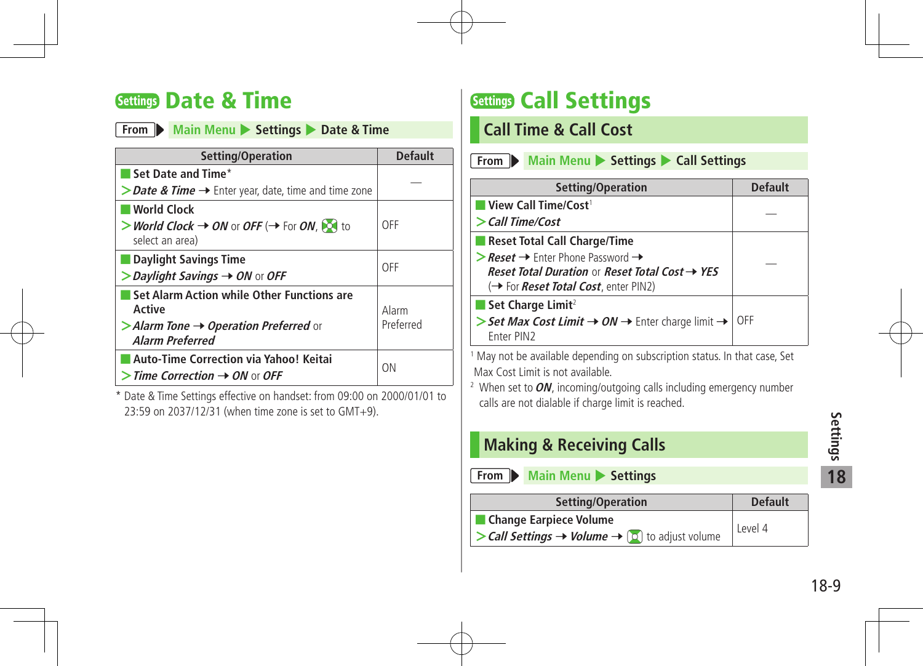### Settings Date & Time

|  | From Main Menu > Settings > Date & Time |  |  |  |  |  |
|--|-----------------------------------------|--|--|--|--|--|
|--|-----------------------------------------|--|--|--|--|--|

| Setting/Operation                                                                                                                                  | <b>Default</b>     |
|----------------------------------------------------------------------------------------------------------------------------------------------------|--------------------|
| Set Date and Time*                                                                                                                                 |                    |
| > Date & Time → Enter year, date, time and time zone                                                                                               |                    |
| <b>World Clock</b><br>> World Clock $\rightarrow$ ON or OFF (→ For ON, $\sim$ to<br>select an area)                                                | OFF                |
| Daylight Savings Time<br>$>$ Daylight Savings $\rightarrow$ ON or OFF                                                                              | OFF                |
| Set Alarm Action while Other Functions are<br>Active<br>$\triangleright$ Alarm Tone $\rightarrow$ Operation Preferred or<br><b>Alarm Preferred</b> | Alarm<br>Preferred |
| Auto-Time Correction via Yahoo! Keitai<br>$>$ Time Correction $\rightarrow$ ON or OFF                                                              | ON                 |

\* Date & Time Settings effective on handset: from 09:00 on 2000/01/01 to 23:59 on 2037/12/31 (when time zone is set to GMT+9).

## Settings Call Settings

#### **Call Time & Call Cost**

- **From Main Menu >** Settings **>** Call Settings **Setting/Operation Default** ■ **View Call Time/Cost**<sup>1</sup> **<sup>&</sup>gt;Call Time/Cost** — ■ **Reset Total Call Charge/Time**  $\geq$  **Reset**  $\rightarrow$  Enter Phone Password  $\rightarrow$
- **Reset Total Duration or Reset Total Cost → YES** (→ For *Reset Total Cost*, enter PIN2) — ■ Set Charge Limit<sup>2</sup> > Set Max Cost Limit → ON → Enter charge limit → OFF Enter PIN2

1 May not be available depending on subscription status. In that case, Set Max Cost Limit is not available.

<sup>2</sup> When set to  $ON$ , incoming/outgoing calls including emergency number calls are not dialable if charge limit is reached.

### **Making & Receiving Calls**

- **From Main Menu** Settings
- **Setting/Operation Default** ■ **Change Earpiece Volume**  $\geq$ **Call Settings**  $\rightarrow$  **Volume**  $\rightarrow$  **2** to adjust volume Level 4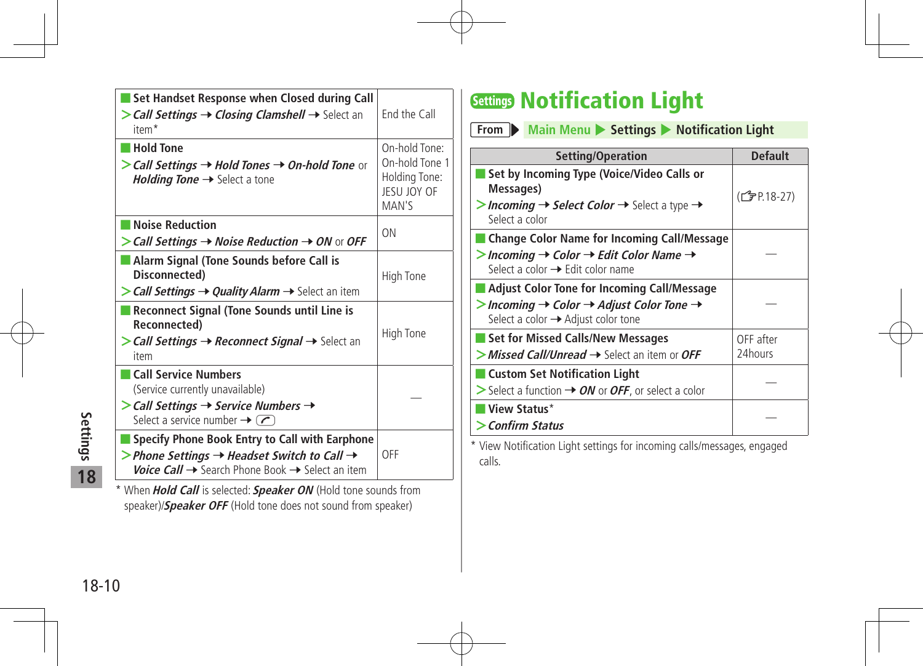| Set Handset Response when Closed during Call<br>$>$ Call Settings $\rightarrow$ Closing Clamshell $\rightarrow$ Select an<br>item <sup>*</sup>                                               | End the Call                                                             |
|----------------------------------------------------------------------------------------------------------------------------------------------------------------------------------------------|--------------------------------------------------------------------------|
| <b>Hold Tone</b><br>> Call Settings $\rightarrow$ Hold Tones $\rightarrow$ On-hold Tone or<br><i>Holding Tone</i> $\rightarrow$ Select a tone                                                | On-hold Tone:<br>On-hold Tone 1<br>Holding Tone:<br>JESU JOY OF<br>MAN'S |
| Noise Reduction<br>$\triangleright$ Call Settings $\rightarrow$ Noise Reduction $\rightarrow$ ON or OFF                                                                                      | ON                                                                       |
| Alarm Signal (Tone Sounds before Call is<br>Disconnected)<br>> Call Settings → Quality Alarm → Select an item                                                                                | High Tone                                                                |
| Reconnect Signal (Tone Sounds until Line is<br>Reconnected)<br>$\triangleright$ Call Settings $\rightarrow$ Reconnect Signal $\rightarrow$ Select an<br>item                                 | High Tone                                                                |
| Call Service Numbers<br>(Service currently unavailable)<br>$\triangleright$ Call Settings $\rightarrow$ Service Numbers $\rightarrow$<br>Select a service number $\rightarrow$ $\rightarrow$ |                                                                          |
| Specify Phone Book Entry to Call with Earphone<br>> Phone Settings $\rightarrow$ Headset Switch to Call $\rightarrow$<br>Voice Call → Search Phone Book → Select an item                     | OFF                                                                      |
| * When Hold Call is selected: Speaker ON (Hold tone sounds from                                                                                                                              |                                                                          |

speaker)/**Speaker OFF** (Hold tone does not sound from speaker)

### Settings Notification Light

**From Main Menu** > Settings > Notification Light

| Setting/Operation                                                                                                                                           | <b>Default</b> |
|-------------------------------------------------------------------------------------------------------------------------------------------------------------|----------------|
| Set by Incoming Type (Voice/Video Calls or<br>Messages)<br>>Incoming $\rightarrow$ Select Color $\rightarrow$ Select a type $\rightarrow$<br>Select a color | (CJP.18-27)    |
| <b>Change Color Name for Incoming Call/Message</b>                                                                                                          |                |
| $>$ Incoming $\rightarrow$ Color $\rightarrow$ Edit Color Name $\rightarrow$<br>Select a color $\rightarrow$ Edit color name                                |                |
| <b>Adjust Color Tone for Incoming Call/Message</b>                                                                                                          |                |
| > Incoming $\rightarrow$ Color $\rightarrow$ Adjust Color Tone $\rightarrow$<br>Select a color → Adjust color tone                                          |                |
| <b>Set for Missed Calls/New Messages</b>                                                                                                                    | OFF after      |
| $>$ Missed Call/Unread $\rightarrow$ Select an item or OFF                                                                                                  | 24hours        |
| ■ Custom Set Notification Light<br>$>$ Select a function $\rightarrow$ ON or OFF, or select a color                                                         |                |
| View Status*                                                                                                                                                |                |
| > Confirm Status                                                                                                                                            |                |

\* View Notification Light settings for incoming calls/messages, engaged calls.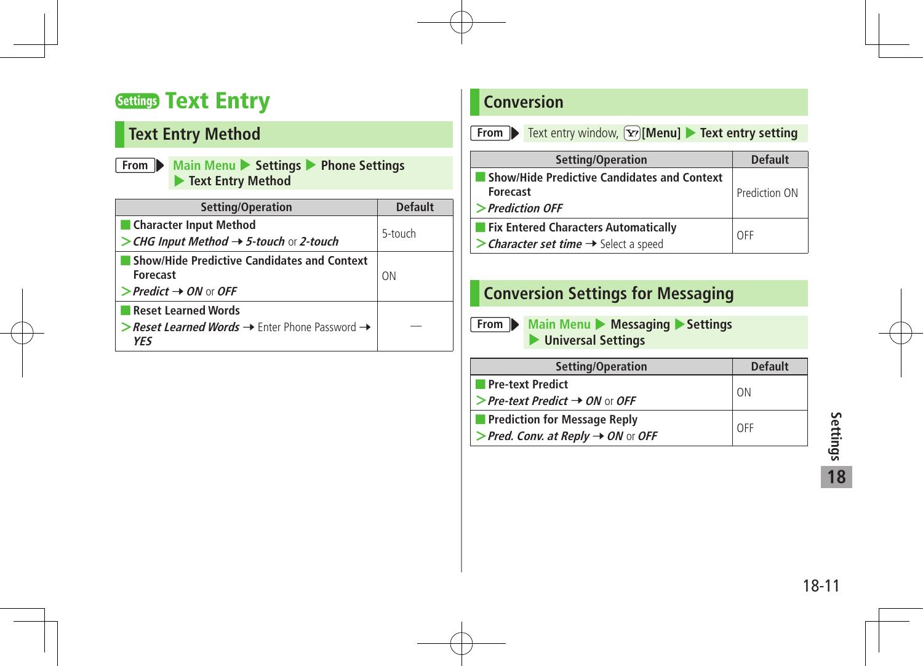### Settings Text Entry

### **Text Entry Method**

**From Main Menu** 4 **Settings** 4 **Phone Settings**  4 **Text Entry Method**

| Setting/Operation                                                                                                         | <b>Default</b> |
|---------------------------------------------------------------------------------------------------------------------------|----------------|
| Character Input Method<br>> CHG Input Method $\rightarrow$ 5-touch or 2-touch                                             | 5-touch        |
| <b>Show/Hide Predictive Candidates and Context</b><br><b>Forecast</b><br>$\triangleright$ Predict $\rightarrow$ ON or OFF | ON             |
| <b>Reset Learned Words</b><br>> Reset Learned Words $\rightarrow$ Enter Phone Password $\rightarrow$<br><b>YFS</b>        |                |

### **Conversion**

| From |  |  | Text entry |
|------|--|--|------------|
|------|--|--|------------|

**From** Text entry window,  $\boxed{\mathbf{Y}}$  [Menu] **Fext entry setting** 

| Setting/Operation                                  | <b>Default</b> |
|----------------------------------------------------|----------------|
| <b>Show/Hide Predictive Candidates and Context</b> |                |
| <b>Forecast</b>                                    | Prediction ON  |
| >Prediction OFF                                    |                |
| <b>Fix Entered Characters Automatically</b>        | OFF            |
| > Character set time $\rightarrow$ Select a speed  |                |

#### **Conversion Settings for Messaging**

**From Main Menu + Messaging + Settings** 4 **Universal Settings**

| Setting/Operation                              | <b>Default</b> |
|------------------------------------------------|----------------|
| <b>Pre-text Predict</b>                        | ON             |
| > Pre-text Predict $\rightarrow$ ON or OFF     |                |
| <b>Prediction for Message Reply</b>            | OFF            |
| > Pred. Conv. at Reply $\rightarrow$ ON or OFF |                |
|                                                |                |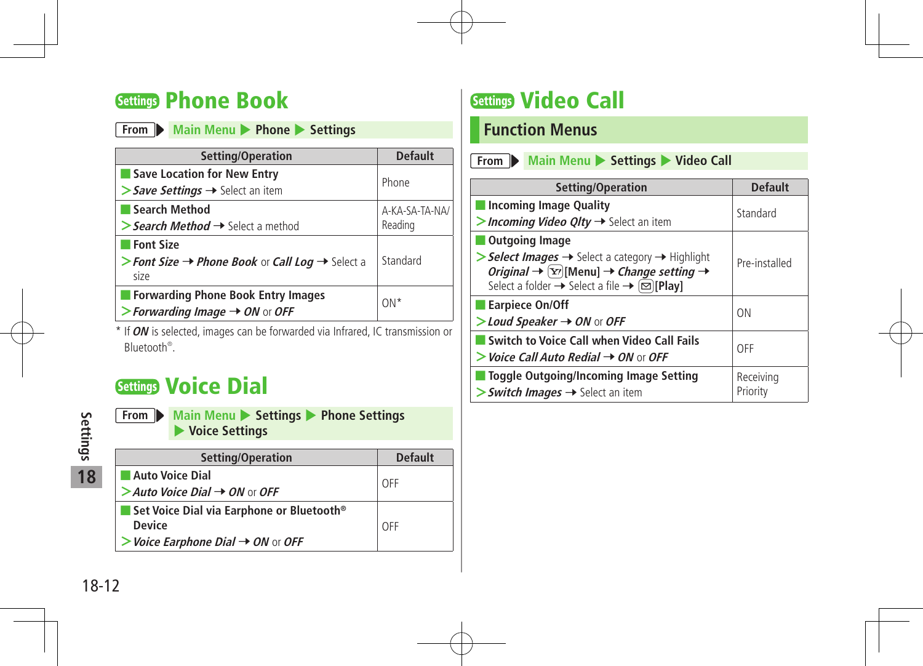### Settings Phone Book

|  |  | From Main Menu Phone Settings |  |
|--|--|-------------------------------|--|
|--|--|-------------------------------|--|

| Setting/Operation                                                                | <b>Default</b> |  |
|----------------------------------------------------------------------------------|----------------|--|
| Save Location for New Entry                                                      | Phone          |  |
| $\triangleright$ Save Settings $\rightarrow$ Select an item                      |                |  |
| Search Method                                                                    | A-KA-SA-TA-NA/ |  |
| > Search Method $\rightarrow$ Select a method                                    | Reading        |  |
| ■ Font Size                                                                      |                |  |
| > Font Size $\rightarrow$ Phone Book or Call Log $\rightarrow$ Select a<br>size  | Standard       |  |
| Forwarding Phone Book Entry Images<br>> Forwarding Image $\rightarrow$ ON or OFF | $ON*$          |  |

\* If **ON** is selected, images can be forwarded via Infrared, IC transmission or Bluetooth® .

### Settings Voice Dial

**18**

**From Main Menu > Settings > Phone Settings** 4 **Voice Settings**

| Setting/Operation                                            | <b>Default</b> |
|--------------------------------------------------------------|----------------|
| <b>Auto Voice Dial</b>                                       | OFF            |
| $>$ Auto Voice Dial $\rightarrow$ ON or OFF                  |                |
| Set Voice Dial via Earphone or Bluetooth <sup>®</sup>        |                |
| <b>Device</b>                                                | OFF            |
| $\triangleright$ Voice Earphone Dial $\rightarrow$ ON or OFF |                |

### Settings Video Call

### **Function Menus**

| Setting/Operation                                                                                                                                                                                                                                                                                     | <b>Default</b>        |
|-------------------------------------------------------------------------------------------------------------------------------------------------------------------------------------------------------------------------------------------------------------------------------------------------------|-----------------------|
| <b>Incoming Image Quality</b><br>> Incoming Video QIty $\rightarrow$ Select an item                                                                                                                                                                                                                   | Standard              |
| <b>Outgoing Image</b><br>$\triangleright$ <b>Select Images</b> $\rightarrow$ Select a category $\rightarrow$ Highlight<br>Original $\rightarrow \boxed{\text{Y}}$ [Menu] $\rightarrow$ Change setting $\rightarrow$<br>Select a folder $\rightarrow$ Select a file $\rightarrow \boxed{\odot}$ [Play] | Pre-installed         |
| <b>Earpiece On/Off</b><br>$>$ Loud Speaker $\rightarrow$ ON or OFF                                                                                                                                                                                                                                    | <b>ON</b>             |
| Switch to Voice Call when Video Call Fails<br>$>$ Voice Call Auto Redial $\rightarrow$ ON or OFF                                                                                                                                                                                                      | OFF                   |
| <b>Toggle Outgoing/Incoming Image Setting</b><br>$>$ Switch Images $\rightarrow$ Select an item                                                                                                                                                                                                       | Receiving<br>Priority |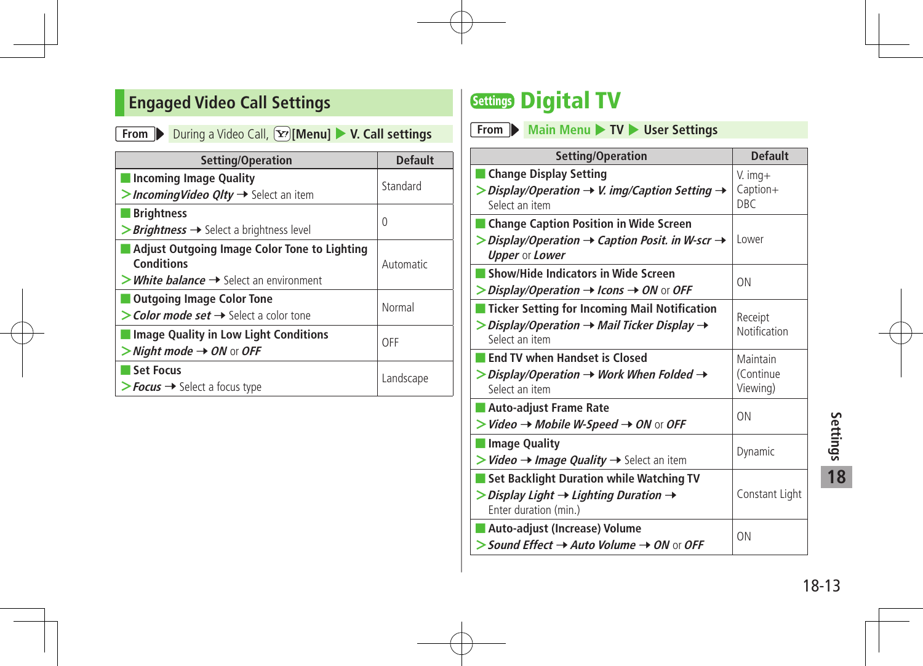### **Engaged Video Call Settings**

**From** During a Video Call,  $\boxed{\mathbf{x}}$  [Menu] **V. Call settings** 

| Setting/Operation                                                                                                          | <b>Default</b> |
|----------------------------------------------------------------------------------------------------------------------------|----------------|
| <b>Incoming Image Quality</b><br>> Incoming Video $Q$ Ity $\rightarrow$ Select an item                                     | Standard       |
| <b>Brightness</b><br>> <b>Brightness</b> → Select a brightness level                                                       | 0              |
| Adjust Outgoing Image Color Tone to Lighting<br>Conditions<br>$>$ <i>White balance</i> $\rightarrow$ Select an environment | Automatic      |
| <b>Outgoing Image Color Tone</b><br>$\gt$ Color mode set $\rightarrow$ Select a color tone                                 | Normal         |
| <b>Image Quality in Low Light Conditions</b><br>$>$ Night mode $\rightarrow$ ON or OFF                                     | OFF            |
| <b>Set Focus</b><br>$\triangleright$ Focus $\rightarrow$ Select a focus type                                               | Landscape      |

### **Settings Digital TV**

**From Main Menu 17V List User Settings** 

| Setting/Operation                                                                                                                                            | <b>Default</b>                      |          |
|--------------------------------------------------------------------------------------------------------------------------------------------------------------|-------------------------------------|----------|
| Change Display Setting<br>> Display/Operation $\rightarrow$ V. img/Caption Setting $\rightarrow$<br>Select an item                                           | $V.$ img+<br>Caption+<br><b>DBC</b> |          |
| <b>Change Caption Position in Wide Screen</b><br>$\triangleright$ Display/Operation $\rightarrow$ Caption Posit. in W-scr $\rightarrow$<br>Upper or Lower    | Lower                               |          |
| Show/Hide Indicators in Wide Screen<br>$\triangleright$ Display/Operation $\rightarrow$ Icons $\rightarrow$ ON or OFF                                        | 0 <sub>N</sub>                      |          |
| <b>Ticker Setting for Incoming Mail Notification</b><br>$\triangleright$ Display/Operation $\rightarrow$ Mail Ticker Display $\rightarrow$<br>Select an item | Receipt<br>Notification             |          |
| <b>End TV when Handset is Closed</b><br>$>$ Display/Operation $\rightarrow$ Work When Folded $\rightarrow$<br>Select an item                                 | Maintain<br>(Continue<br>Viewing)   |          |
| Auto-adjust Frame Rate<br>$>$ Video $\rightarrow$ Mobile W-Speed $\rightarrow$ ON or OFF                                                                     | ON                                  |          |
| <b>Image Quality</b><br>$>$ Video $\rightarrow$ Image Quality $\rightarrow$ Select an item                                                                   | Dynamic                             | Settings |
| Set Backlight Duration while Watching TV<br>$\triangleright$ Display Light $\rightarrow$ Lighting Duration $\rightarrow$<br>Enter duration (min.)            | Constant Light                      | 18       |
| Auto-adjust (Increase) Volume<br>$>$ Sound Effect $\rightarrow$ Auto Volume $\rightarrow$ ON or OFF                                                          | ON                                  |          |
|                                                                                                                                                              |                                     | 18-13    |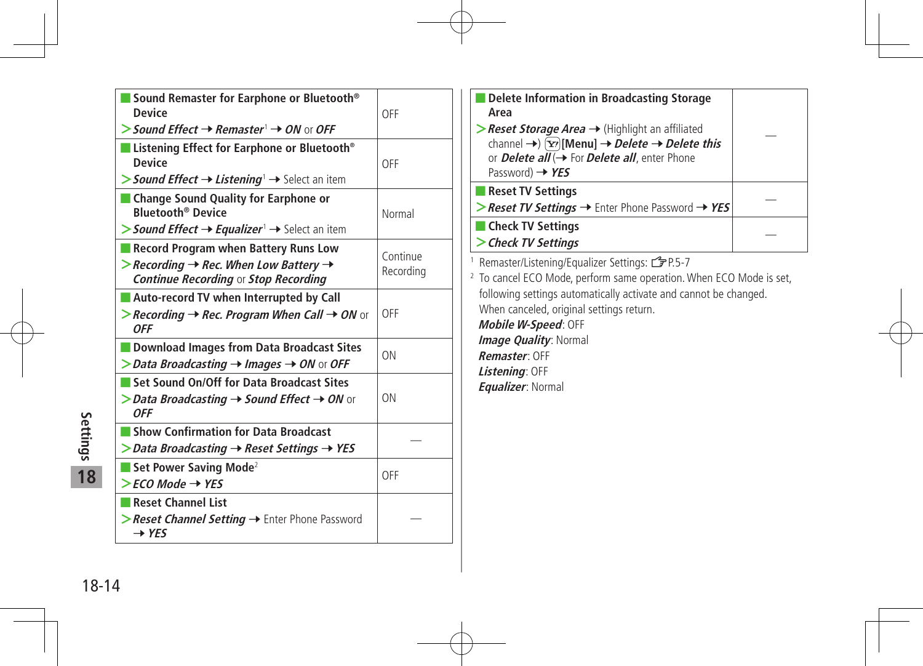|          | Sound Remaster for Earphone or Bluetooth <sup>®</sup><br><b>Device</b>                                                                              | OFF                   |
|----------|-----------------------------------------------------------------------------------------------------------------------------------------------------|-----------------------|
|          | > Sound Effect $\rightarrow$ Remaster $\rightarrow$ ON or OFF                                                                                       |                       |
|          | ■ Listening Effect for Earphone or Bluetooth <sup>®</sup><br><b>Device</b>                                                                          | OFF                   |
|          | > Sound Effect $\rightarrow$ Listening <sup>1</sup> $\rightarrow$ Select an item                                                                    |                       |
|          | ■ Change Sound Quality for Earphone or<br><b>Bluetooth<sup>®</sup> Device</b>                                                                       | Normal                |
|          | > Sound Effect $\rightarrow$ Equalizer <sup>1</sup> $\rightarrow$ Select an item                                                                    |                       |
|          | Record Program when Battery Runs Low<br>>Recording $\rightarrow$ Rec. When Low Battery $\rightarrow$<br><b>Continue Recording or Stop Recording</b> | Continue<br>Recording |
|          | <b>Auto-record TV when Interrupted by Call</b><br>>Recording $\rightarrow$ Rec. Program When Call $\rightarrow$ ON or<br><b>OFF</b>                 | OFF                   |
|          | Download Images from Data Broadcast Sites<br>$\triangleright$ Data Broadcasting $\rightarrow$ Images $\rightarrow$ ON or OFF                        | ON                    |
|          | Set Sound On/Off for Data Broadcast Sites<br>> Data Broadcasting $\rightarrow$ Sound Effect $\rightarrow$ ON or<br><b>OFF</b>                       | ON                    |
| Settings | Show Confirmation for Data Broadcast<br>$\triangleright$ Data Broadcasting $\rightarrow$ Reset Settings $\rightarrow$ YES                           |                       |
| 18       | Set Power Saving Mode <sup>2</sup><br>$>$ FCO Mode $\rightarrow$ YES                                                                                | OFF                   |
|          | Reset Channel List<br>>Reset Channel Setting → Enter Phone Password<br>$\rightarrow$ YES                                                            |                       |
| 18-14    |                                                                                                                                                     |                       |
|          |                                                                                                                                                     |                       |

| Delete Information in Broadcasting Storage<br>Area                                                                                                                                                                                                                    |  |
|-----------------------------------------------------------------------------------------------------------------------------------------------------------------------------------------------------------------------------------------------------------------------|--|
| >Reset Storage Area → (Highlight an affiliated<br>channel $\rightarrow$ $\overline{[x]}$ [Menu] $\rightarrow$ <i>Delete</i> $\rightarrow$ <i>Delete this</i><br>or <b>Delete all</b> $\rightarrow$ For <b>Delete all</b> , enter Phone<br>Password) $\rightarrow$ YES |  |
| <b>Reset TV Settings</b>                                                                                                                                                                                                                                              |  |
| > Reset TV Settings $→$ Enter Phone Password $→$ YES                                                                                                                                                                                                                  |  |
| Check TV Settings                                                                                                                                                                                                                                                     |  |
| > Check TV Settings                                                                                                                                                                                                                                                   |  |
| <sup>1</sup> Remaster/Listening/Equalizer Settings: <b>3</b> P.5-7<br><sup>2</sup> To cancel ECO Mode, perform same operation. When ECO Mode is set,                                                                                                                  |  |
| following settings automatically activate and cannot be changed.                                                                                                                                                                                                      |  |

When canceled, original settings return.

**Mobile W-Speed**: OFF **Image Quality: Normal Remaster**: OFF **Listening**: OFF **Equalizer**: Normal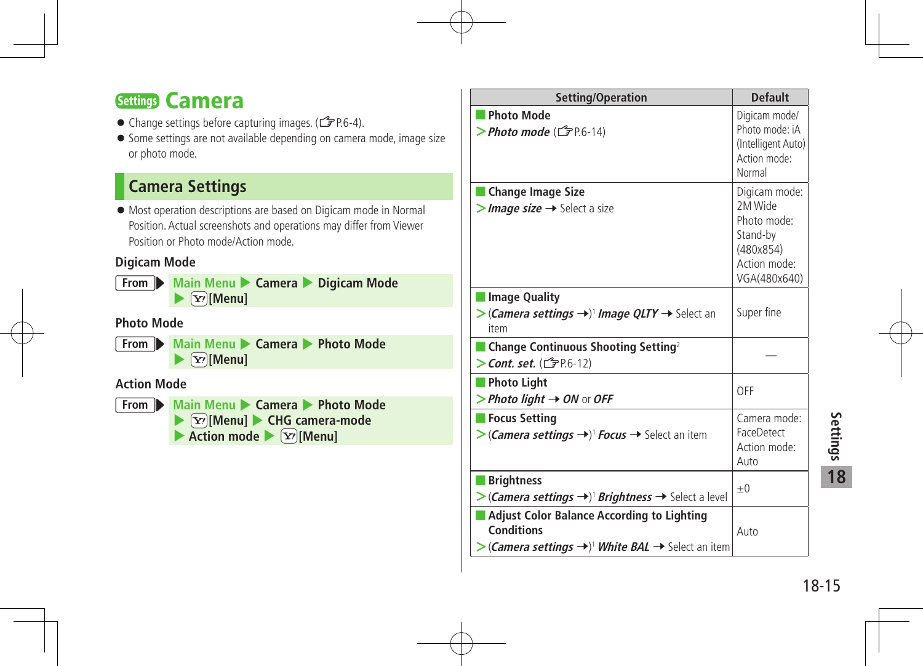### Settings Camera

- Change settings before capturing images. ( $\mathcal{F}$ P.6-4).
- Some settings are not available depending on camera mode, image size or photo mode.

### **Camera Settings**

 Most operation descriptions are based on Digicam mode in Normal Position. Actual screenshots and operations may differ from Viewer Position or Photo mode/Action mode.

#### **Digicam Mode**

**From Main Menu Camera**  Digicam Mode  $\blacktriangleright$   $\boxed{\mathbf{Y}}$ **[Menu]** 

#### **Photo Mode**

**From Main Menu Camera • Photo Mode**  $\blacktriangleright$   $\boxed{\mathbf{Y}}$ **[Menu]** 

#### **Action Mode**



| Setting/Operation                                                                                                                                                          | <b>Default</b>                                                                                   |
|----------------------------------------------------------------------------------------------------------------------------------------------------------------------------|--------------------------------------------------------------------------------------------------|
| <b>Photo Mode</b><br>> Photo mode ( $\mathbb{C}$ PP.6-14)                                                                                                                  | Digicam mode/<br>Photo mode: iA<br>(Intelligent Auto)<br>Action mode:<br>Normal                  |
| Change Image Size<br>$>$ Image size $\rightarrow$ Select a size                                                                                                            | Digicam mode:<br>2M Wide<br>Photo mode:<br>Stand-by<br>(480x854)<br>Action mode:<br>VGA(480x640) |
| <b>Image Quality</b><br>$\triangleright$ (Camera settings $\rightarrow$ ) <sup>1</sup> Image QLTY $\rightarrow$ Select an<br>item                                          | Super fine                                                                                       |
| $\blacksquare$ Change Continuous Shooting Setting <sup>2</sup><br>$\geq$ Cont. set. ( $\subset$ P.6-12)                                                                    |                                                                                                  |
| Photo Light<br>> Photo light $\rightarrow$ ON or OFF                                                                                                                       | OFF                                                                                              |
| Focus Setting<br>> (Camera settings →) <sup>1</sup> Focus → Select an item                                                                                                 | Camera mode:<br>FaceDetect<br>Action mode:<br>Auto                                               |
| <b>Brightness</b><br>>(Camera settings ->) <sup>1</sup> Brightness -> Select a level                                                                                       | $_{\pm 0}$                                                                                       |
| ■ Adjust Color Balance According to Lighting<br><b>Conditions</b><br>$>(\mathsf{Camera}\, \mathsf{settings} \rightarrow)^{\dagger}$ White BAL $\rightarrow$ Select an item | Auto                                                                                             |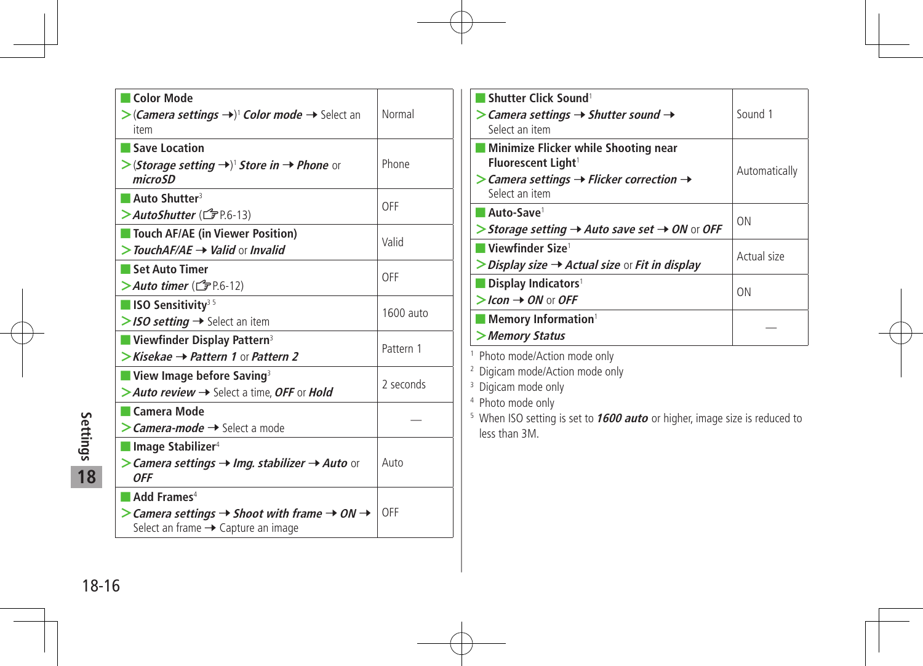| <b>Color Mode</b><br>> (Camera settings →) <sup>1</sup> Color mode → Select an<br>item                                                             | Normal    |
|----------------------------------------------------------------------------------------------------------------------------------------------------|-----------|
| Save Location<br>$\triangleright$ (Storage setting $\rightarrow$ ) <sup>1</sup> Store in $\rightarrow$ Phone or<br>micro <sub>SD</sub>             | Phone     |
| Auto Shutter <sup>3</sup><br>> Auto Shutter ( <del>f</del> P.6-13)                                                                                 | OFF       |
| Touch AF/AE (in Viewer Position)<br>$>$ TouchAF/AE $\rightarrow$ Valid or Invalid                                                                  | Valid     |
| Set Auto Timer<br>$>$ Auto timer ( $\mathbb{F}$ P6-12)                                                                                             | OFF       |
| $\blacksquare$ ISO Sensitivity <sup>35</sup><br>$>$ ISO setting $\rightarrow$ Select an item                                                       | 1600 auto |
| <b>Number Display Pattern</b> <sup>3</sup><br>$\triangleright$ Kisekae $\rightarrow$ Pattern 1 or Pattern 2                                        | Pattern 1 |
| $\blacksquare$ View Image before Saving <sup>3</sup><br>> Auto review $\rightarrow$ Select a time, OFF or Hold                                     | 2 seconds |
| $\blacksquare$ Camera Mode<br>$\geq$ <i>Camera-mode</i> $\rightarrow$ Select a mode                                                                |           |
| $\blacksquare$ Image Stabilizer <sup>4</sup><br>> Camera settings $\rightarrow$ Img. stabilizer $\rightarrow$ Auto or<br><b>OFF</b>                | Auto      |
| Add Frames <sup>4</sup><br>$>$ Camera settings $\rightarrow$ Shoot with frame $\rightarrow$ ON $\rightarrow$<br>Select an frame → Capture an image | OFF       |

| Shutter Click Sound <sup>1</sup><br>$\triangleright$ Camera settings $\rightarrow$ Shutter sound $\rightarrow$<br>Select an item                                            | Sound 1       |
|-----------------------------------------------------------------------------------------------------------------------------------------------------------------------------|---------------|
| Minimize Flicker while Shooting near<br>Fluorescent Light <sup>1</sup><br>$\triangleright$ Camera settings $\rightarrow$ Flicker correction $\rightarrow$<br>Select an item | Automatically |
| Auto-Save <sup>1</sup><br>> Storage setting $\rightarrow$ Auto save set $\rightarrow$ ON or OFF                                                                             | <b>ON</b>     |
| ∣ Viewfinder Size <sup>1</sup><br>$\triangleright$ Display size $\rightarrow$ Actual size or Fit in display                                                                 | Actual size   |
| Display Indicators <sup>1</sup><br>$>$ Icon $\rightarrow$ ON or OFF                                                                                                         | ΩN            |
| <b>Memory Information</b><br>>Memory Status                                                                                                                                 |               |

<sup>1</sup> Photo mode/Action mode only

<sup>2</sup> Digicam mode/Action mode only

<sup>3</sup> Digicam mode only

4 Photo mode only

<sup>5</sup> When ISO setting is set to **1600 auto** or higher, image size is reduced to less than 3M.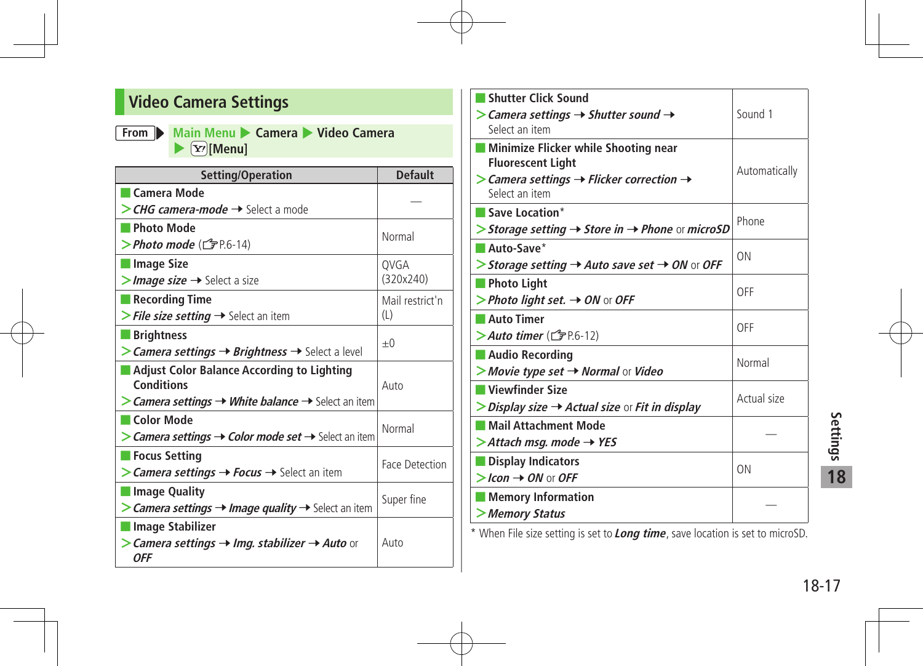### **Video Camera Settings**

#### **From Main Menu** 4 **Camera** 4 **Video Camera**   $\blacktriangleright$   $\boxed{\mathbf{Y}}$ *[Menu]*

| Setting/Operation                                                              | <b>Default</b>  |
|--------------------------------------------------------------------------------|-----------------|
| <b>Camera Mode</b>                                                             |                 |
| > CHG camera-mode → Select a mode                                              |                 |
| <b>Photo Mode</b>                                                              |                 |
| $\triangleright$ Photo mode ( $\mathcal{F}$ P.6-14)                            | Normal          |
| ■ Image Size                                                                   | QVGA            |
| >Image size → Select a size                                                    | (320x240)       |
| $\blacksquare$ Recording Time                                                  | Mail restrict'n |
| > File size setting $\rightarrow$ Select an item                               | (L)             |
| <b>Brightness</b>                                                              |                 |
| $>$ Camera settings $\rightarrow$ Brightness $\rightarrow$ Select a level      | $+0$            |
| <b>Adjust Color Balance According to Lighting</b>                              |                 |
| Conditions                                                                     | Auto            |
| > Camera settings → White balance → Select an item                             |                 |
| Color Mode                                                                     | Normal          |
| > Camera settings → Color mode set → Select an item                            |                 |
| <b>Focus Setting</b>                                                           | Face Detection  |
| > <i>Camera settings → Focus →</i> Select an item                              |                 |
| Image Quality                                                                  |                 |
| > Camera settings $\rightarrow$ Image quality $\rightarrow$ Select an item     | Super fine      |
| Image Stabilizer                                                               |                 |
| $>$ Camera settings $\rightarrow$ Img. stabilizer $\rightarrow$ Auto or<br>0FF | Auto            |

| <b>Shutter Click Sound</b><br>$\triangleright$ Camera settings $\rightarrow$ Shutter sound $\rightarrow$<br>Select an item                                                   | Sound 1       |
|------------------------------------------------------------------------------------------------------------------------------------------------------------------------------|---------------|
| <b>Minimize Flicker while Shooting near</b><br><b>Fluorescent Light</b><br>$\triangleright$ Camera settings $\rightarrow$ Flicker correction $\rightarrow$<br>Select an item | Automatically |
| $\blacksquare$ Save Location*<br>> Storage setting $\rightarrow$ Store in $\rightarrow$ Phone or microSD                                                                     | Phone         |
| $\blacksquare$ Auto-Save*<br>> Storage setting $\rightarrow$ Auto save set $\rightarrow$ ON or OFF                                                                           | ON            |
| $\blacksquare$ Photo Light<br>> Photo light set. $\rightarrow$ ON or OFF                                                                                                     | OFF           |
| Auto Timer<br>$>$ Auto timer ( $\mathbb{F}$ P.6-12)                                                                                                                          | OFF           |
| Audio Recording<br>$>$ Movie type set $\rightarrow$ Normal or Video                                                                                                          | Normal        |
| Viewfinder Size<br>$\triangleright$ Display size $\rightarrow$ Actual size or Fit in display                                                                                 | Actual size   |
| Mail Attachment Mode<br>$\gt$ Attach msq. mode $\rightarrow$ YES                                                                                                             |               |
| Display Indicators<br>$>$ Icon $\rightarrow$ ON or OFF                                                                                                                       | ON            |
| <b>Memory Information</b><br>> Memory Status                                                                                                                                 |               |

\* When File size setting is set to **Long time**, save location is set to microSD.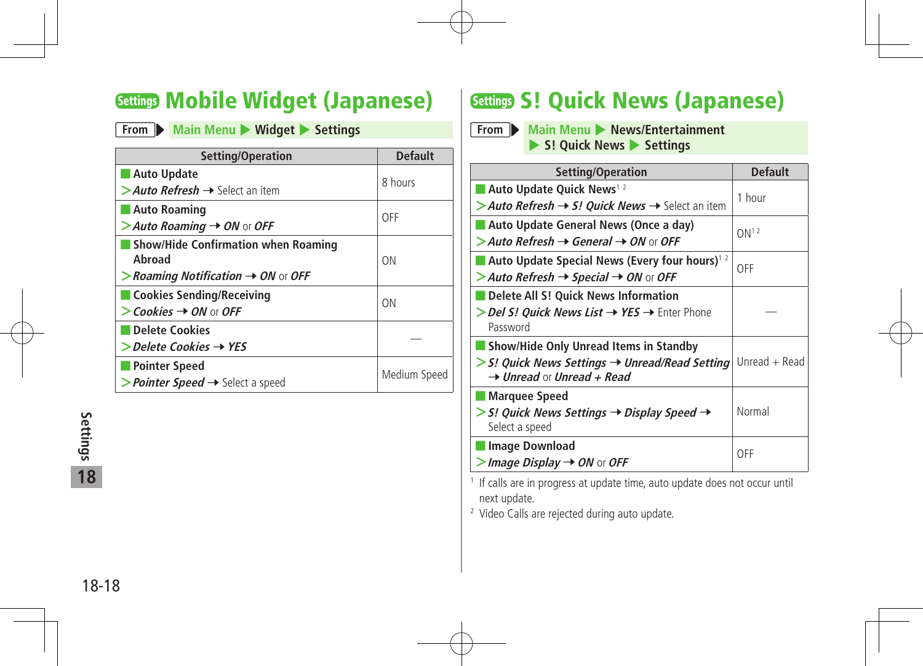### Settings Mobile Widget (Japanese)

#### **From Main Menu Widget > Settings**

| Setting/Operation                                                                    | <b>Default</b> |
|--------------------------------------------------------------------------------------|----------------|
| <b>Auto Update</b><br>> Auto Refresh $\rightarrow$ Select an item                    | 8 hours        |
| <b>Auto Roaming</b><br>$>$ Auto Roaming $\rightarrow$ ON or OFF                      | OFF            |
| <b>Show/Hide Confirmation when Roaming</b><br>Ahroad                                 | ON             |
| $>$ Roaming Notification $\rightarrow$ ON or OFF<br><b>Cookies Sending/Receiving</b> |                |
| $\triangleright$ Cookies $\rightarrow$ ON or OFF                                     | ON             |
| Delete Cookies<br>$\gt$ Delete Cookies $\rightarrow$ YES                             |                |
| <b>Pointer Speed</b><br>> <i>Pointer Speed</i> → Select a speed                      | Medium Speed   |

### **Settings S! Quick News (Japanese)**

**From Main Menu Mews/Entertainment** 4 **S! Quick News** 4 **Settings**

| Setting/Operation                                                                                     | <b>Default</b>   |  |
|-------------------------------------------------------------------------------------------------------|------------------|--|
| Auto Update Quick News <sup>12</sup>                                                                  | 1 hour           |  |
| > Auto Refresh $\rightarrow$ S! Quick News $\rightarrow$ Select an item                               |                  |  |
| Auto Update General News (Once a day)                                                                 | ON <sup>12</sup> |  |
| $>$ Auto Refresh $\rightarrow$ General $\rightarrow$ ON or OFF                                        |                  |  |
| Auto Update Special News (Every four hours) <sup>12</sup>                                             | OFF              |  |
| > Auto Refresh $\rightarrow$ Special $\rightarrow$ ON or OFF                                          |                  |  |
| Delete All S! Quick News Information                                                                  |                  |  |
| > Del S! Quick News List → YES → Enter Phone<br>Password                                              |                  |  |
| Show/Hide Only Unread Items in Standby                                                                |                  |  |
| $>$ S! Quick News Settings $\rightarrow$ Unread/Read Setting<br>$\rightarrow$ Unread or Unread + Read | Unread + Read    |  |
| Marquee Speed                                                                                         |                  |  |
| $>$ S! Quick News Settings $\rightarrow$ Display Speed $\rightarrow$                                  | Normal           |  |
| Select a speed                                                                                        |                  |  |
| <b>Image Download</b>                                                                                 | OFF              |  |
| $>$ Image Display $\rightarrow$ ON or OFF                                                             |                  |  |

<sup>1</sup> If calls are in progress at update time, auto update does not occur until next update.

<sup>2</sup> Video Calls are rejected during auto update.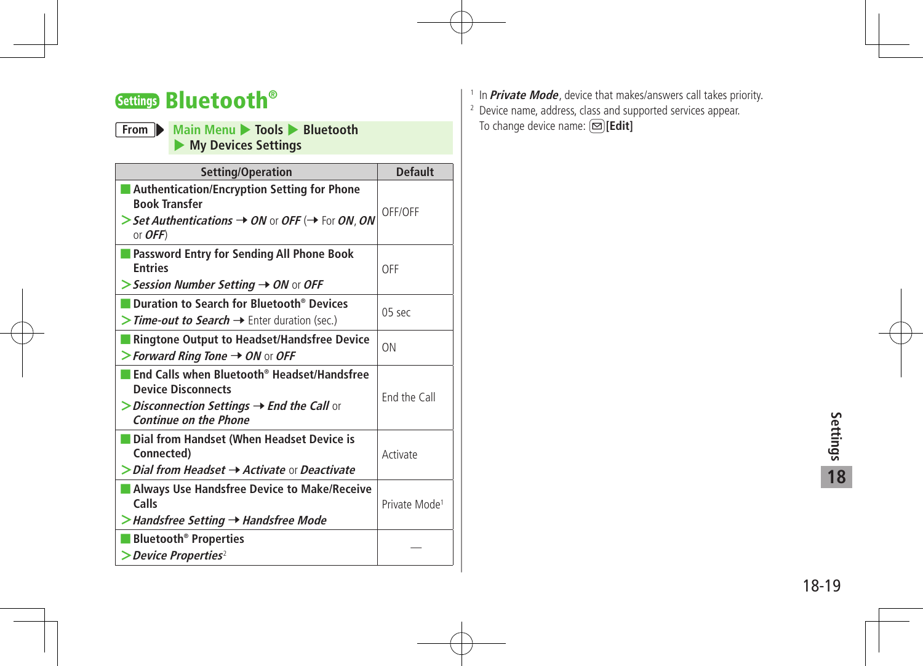### Settings Bluetooth®

#### **From Main Menu 14** Tools Bluetooth 4 **My Devices Settings**

| Setting/Operation                                                                                                                                                                 | <b>Default</b>            |
|-----------------------------------------------------------------------------------------------------------------------------------------------------------------------------------|---------------------------|
| <b>Authentication/Encryption Setting for Phone</b><br><b>Book Transfer</b><br>> Set Authentications $\rightarrow$ ON or OFF ( $\rightarrow$ For ON, ON<br>or $OFF$ )              | OFF/OFF                   |
| Password Entry for Sending All Phone Book<br><b>Entries</b><br>$\triangleright$ Session Number Setting $\rightarrow$ ON or OFF                                                    | OFF                       |
| Duration to Search for Bluetooth <sup>®</sup> Devices<br>> <i>Time-out to Search</i> → Enter duration (sec.)                                                                      | $05$ sec                  |
| Ringtone Output to Headset/Handsfree Device<br>> Forward Ring Tone $\rightarrow$ ON or OFF                                                                                        | 0 <sub>N</sub>            |
| End Calls when Bluetooth® Headset/Handsfree<br><b>Device Disconnects</b><br>$\triangleright$ Disconnection Settings $\rightarrow$ End the Call or<br><b>Continue on the Phone</b> | End the Call              |
| Dial from Handset (When Headset Device is<br>Connected)<br>$\triangleright$ Dial from Headset $\rightarrow$ Activate or Deactivate                                                | Activate                  |
| Always Use Handsfree Device to Make/Receive<br>Calls<br>> Handsfree Setting → Handsfree Mode                                                                                      | Private Mode <sup>1</sup> |
| <b>Bluetooth<sup>®</sup> Properties</b><br>$\geq$ Device Properties <sup>2</sup>                                                                                                  |                           |

- <sup>1</sup> In **Private Mode**, device that makes/answers call takes priority.
- <sup>2</sup> Device name, address, class and supported services appear. To change device name: **[20]**[Edit]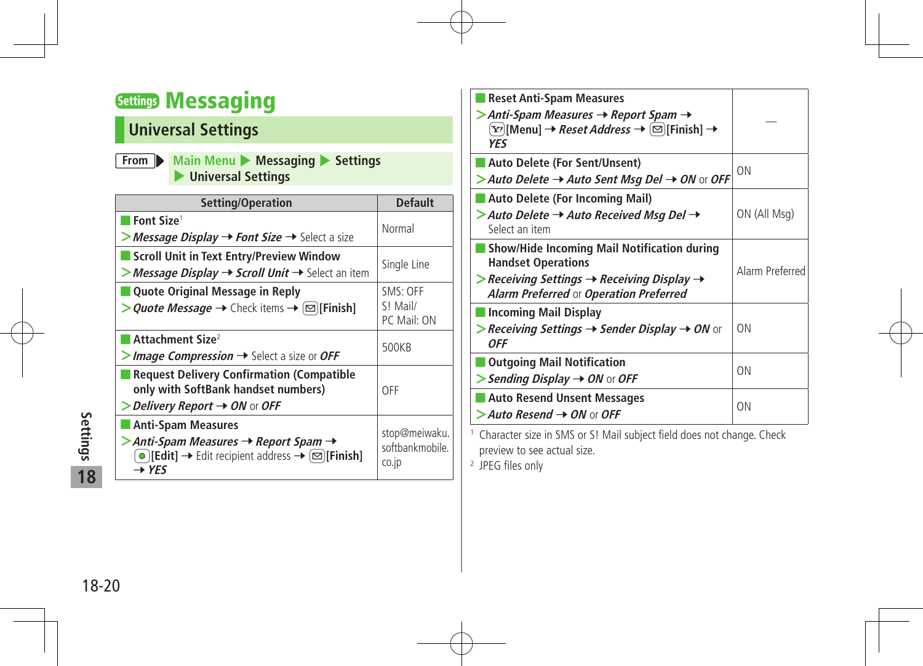### **Settings Messaging**

### **Universal Settings**

| From Main Menu Messaging Settings |
|-----------------------------------|
| Universal Settings                |

| Setting/Operation                                                                                                                                                                                            | <b>Default</b>                            |
|--------------------------------------------------------------------------------------------------------------------------------------------------------------------------------------------------------------|-------------------------------------------|
| Font Size <sup>1</sup><br>>Message Display → Font Size → Select a size                                                                                                                                       | Normal                                    |
| Scroll Unit in Text Entry/Preview Window<br>> Message Display $\rightarrow$ Scroll Unit $\rightarrow$ Select an item                                                                                         | Single Line                               |
| Quote Original Message in Reply<br>> <i>Quote Message</i> → Check items → $\boxed{\,\simeq\,}$ [Finish]                                                                                                      | SMS: OFF<br>S! Mail/<br>PC Mail: ON       |
| Attachment Size <sup>2</sup><br>$>$ Image Compression $\rightarrow$ Select a size or OFF                                                                                                                     | 500KB                                     |
| <b>Request Delivery Confirmation (Compatible</b><br>only with SoftBank handset numbers)<br>$\triangleright$ Delivery Report $\rightarrow$ ON or OFF                                                          | OFF                                       |
| <b>Anti-Spam Measures</b><br>$\gt$ Anti-Spam Measures $\rightarrow$ Report Spam $\rightarrow$<br>$\bigcirc$ [Edit] $\rightarrow$ Edit recipient address $\rightarrow \bigcirc$ [Finish]<br>$\rightarrow$ YFS | stop@meiwaku.<br>softbankmobile.<br>CO.ID |

| <b>Reset Anti-Spam Measures</b><br>$>$ Anti-Spam Measures $\rightarrow$ Report Spam $\rightarrow$<br>$\boxed{\Sigma'}$ [Menu] $\rightarrow$ <i>Reset Address</i> $\rightarrow$ $\boxed{\boxtimes}$ [Finish] $\rightarrow$<br>YFS |                 |
|----------------------------------------------------------------------------------------------------------------------------------------------------------------------------------------------------------------------------------|-----------------|
| <b>Auto Delete (For Sent/Unsent)</b><br>> Auto Delete $\rightarrow$ Auto Sent Msq Del $\rightarrow$ ON or OFF                                                                                                                    | ON              |
| Auto Delete (For Incoming Mail)<br>$>$ Auto Delete $\rightarrow$ Auto Received Msg Del $\rightarrow$<br>Select an item                                                                                                           | ON (All Msg)    |
| Show/Hide Incoming Mail Notification during<br><b>Handset Operations</b><br>$\triangleright$ Receiving Settings $\rightarrow$ Receiving Display $\rightarrow$<br>Alarm Preferred or Operation Preferred                          | Alarm Preferred |
| <b>Incoming Mail Display</b><br>$>$ Receiving Settings $\rightarrow$ Sender Display $\rightarrow$ ON or<br>0FF                                                                                                                   | <b>ON</b>       |
| <b>Outgoing Mail Notification</b><br>$\triangleright$ Sending Display $\rightarrow$ ON or OFF                                                                                                                                    | <b>ON</b>       |
| Auto Resend Unsent Messages<br>$\geq$ Auto Resend $\rightarrow$ ON or OFF                                                                                                                                                        | ON              |
|                                                                                                                                                                                                                                  |                 |

<sup>1</sup> Character size in SMS or S! Mail subject field does not change. Check preview to see actual size.

<sup>2</sup> JPEG files only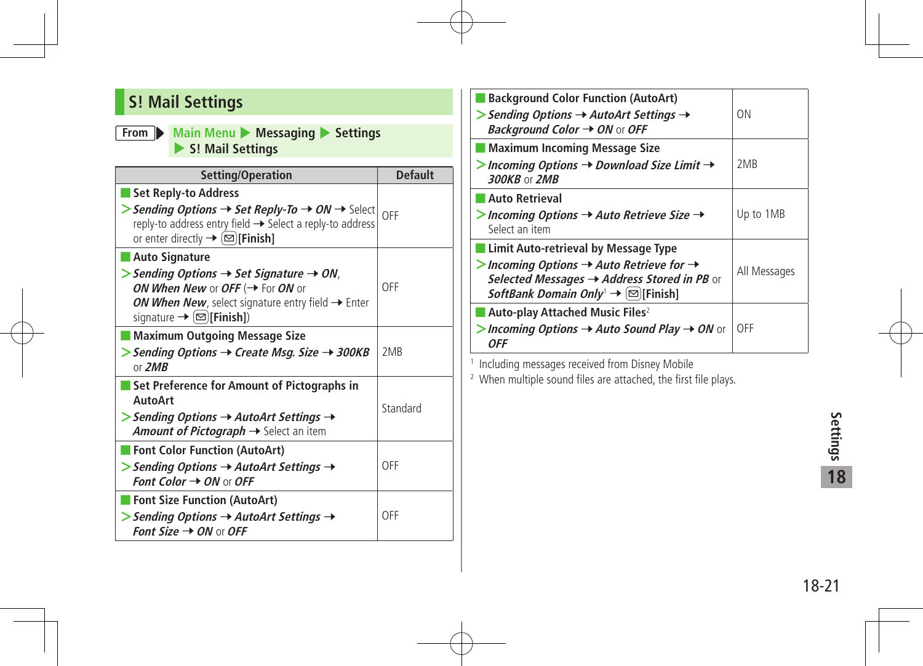### **S! Mail Settings**

#### **From Main Menu** 4 **Messaging** 4 **Settings** 4 **S! Mail Settings**

| Setting/Operation                                                                                                                                                                                                                                         | <b>Default</b>  |
|-----------------------------------------------------------------------------------------------------------------------------------------------------------------------------------------------------------------------------------------------------------|-----------------|
| Set Reply-to Address<br>> Sending Options $\rightarrow$ Set Reply-To $\rightarrow$ ON $\rightarrow$ Select $ _{\text{OFF}}$<br>reply-to address entry field → Select a reply-to address<br>or enter directly $\rightarrow \boxed{\infty}$ [Finish]        |                 |
| Auto Signature<br>$\triangleright$ Sending Options $\rightarrow$ Set Signature $\rightarrow$ ON,<br>ON When New or OFF ( $\rightarrow$ For ON or<br>ON When New, select signature entry field → Enter<br>signature $\rightarrow \boxed{\infty}$ [Finish]) | OFF             |
| Maximum Outgoing Message Size<br>> Sending Options $\rightarrow$ Create Msg. Size $\rightarrow$ 300KB<br>or $2MB$                                                                                                                                         | 2M <sub>R</sub> |
| Set Preference for Amount of Pictographs in<br>AutoArt<br>$\triangleright$ Sending Options $\rightarrow$ AutoArt Settings $\rightarrow$<br>Amount of Pictograph $\rightarrow$ Select an item                                                              | Standard        |
| Font Color Function (AutoArt)<br>> Sending Options $\rightarrow$ AutoArt Settings $\rightarrow$<br>Font Color $\rightarrow$ ON or OFF                                                                                                                     | OFF             |
| Font Size Function (AutoArt)<br>$\triangleright$ Sending Options $\rightarrow$ AutoArt Settings $\rightarrow$<br><b>Font Size <math>\rightarrow</math> ON or OFF</b>                                                                                      | OFF             |

| <b>Background Color Function (AutoArt)</b><br>$\triangleright$ Sending Options $\rightarrow$ AutoArt Settings $\rightarrow$<br><b>Background Color <math>\rightarrow</math> ON or OFF</b>                                                   | ON              |
|---------------------------------------------------------------------------------------------------------------------------------------------------------------------------------------------------------------------------------------------|-----------------|
| Maximum Incoming Message Size<br>> Incoming Options $\rightarrow$ Download Size Limit $\rightarrow$<br><b>300KB or 2MB</b>                                                                                                                  | 2M <sub>R</sub> |
| <b>Auto Retrieval</b><br>$>$ Incoming Options $\rightarrow$ Auto Retrieve Size $\rightarrow$<br>Select an item                                                                                                                              | Up to 1MB       |
| Limit Auto-retrieval by Message Type<br>> Incoming Options $\rightarrow$ Auto Retrieve for $\rightarrow$<br>Selected Messages $\rightarrow$ Address Stored in PB or<br><i>SoftBank Domain Only</i> <sup>1</sup> $\rightarrow \Box$ [Finish] | All Messages    |
| Auto-play Attached Music Files <sup>2</sup><br>> Incoming Options $\rightarrow$ Auto Sound Play $\rightarrow$ ON or<br>0FF                                                                                                                  | OFF             |

<sup>1</sup> Including messages received from Disney Mobile

<sup>2</sup> When multiple sound files are attached, the first file plays.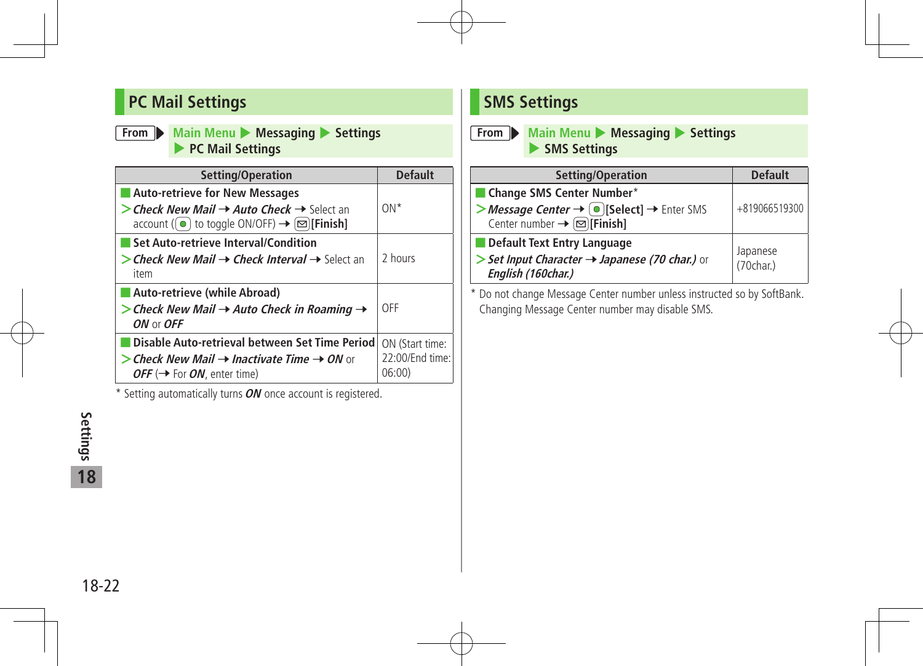### **PC Mail Settings**

#### **From** Main Menu Messaging Settings 4 **PC Mail Settings**

| Setting/Operation                                                                                                                                                                                        | <b>Default</b>                              |
|----------------------------------------------------------------------------------------------------------------------------------------------------------------------------------------------------------|---------------------------------------------|
| Auto-retrieve for New Messages<br>> Check New Mail $\rightarrow$ Auto Check $\rightarrow$ Select an<br>account ( $\left( \bullet \right)$ to toggle ON/OFF) $\rightarrow \left( \infty \right)$ [Finish] | $ON*$                                       |
| Set Auto-retrieve Interval/Condition<br>> Check New Mail $\rightarrow$ Check Interval $\rightarrow$ Select an<br>item                                                                                    | 2 hours                                     |
| Auto-retrieve (while Abroad)<br>> Check New Mail $\rightarrow$ Auto Check in Roaming $\rightarrow$<br>ON or OFF                                                                                          | OFF                                         |
| Disable Auto-retrieval between Set Time Period<br>$\triangleright$ Check New Mail $\rightarrow$ Inactivate Time $\rightarrow$ ON or<br>OFF ( $\rightarrow$ For ON, enter time)                           | ON (Start time:<br>22:00/End time:<br>06:00 |

\* Setting automatically turns**ON** once account is registered.

### **SMS Settings**

#### **From Main Menu D** Messaging D Settings 4 **SMS Settings**

| Setting/Operation                                                                                               | <b>Default</b>        |
|-----------------------------------------------------------------------------------------------------------------|-----------------------|
| Change SMS Center Number*                                                                                       |                       |
| >Message Center → O [Select] → Enter SMS<br>Center number $\rightarrow \boxed{\text{S}}$ [Finish]               | +819066519300         |
| Default Text Entry Language<br>> Set Input Character $\rightarrow$ Japanese (70 char.) or<br>English (160char.) | Japanese<br>(70char.) |

\* Do not change Message Center number unless instructed so by SoftBank. Changing Message Center number may disable SMS.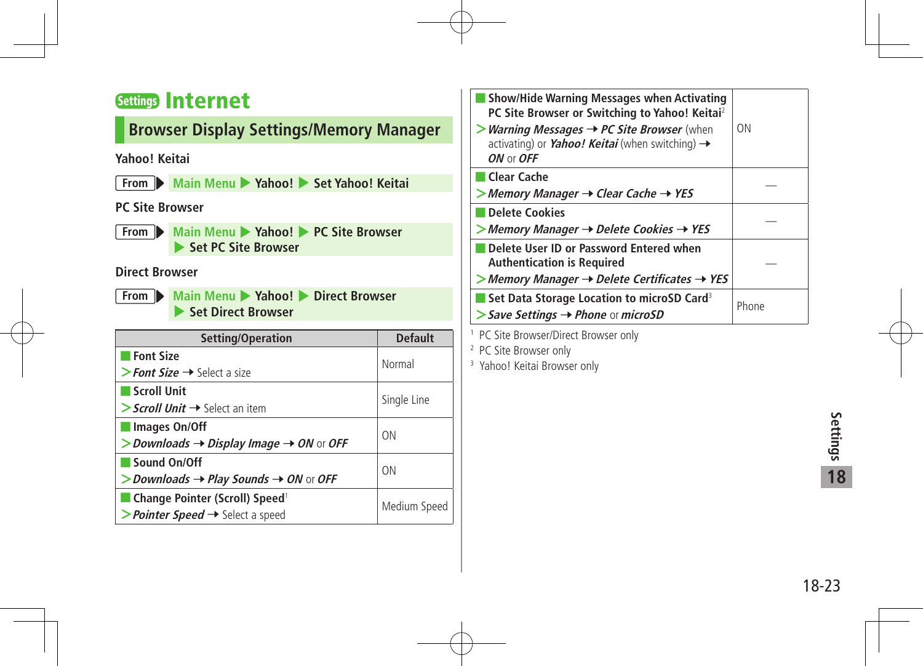### Settings Internet

#### **Browser Display Settings/Memory Manager**

#### **Yahoo! Keitai**

**From Main Menu** 4 **Yahoo!** 4 **Set Yahoo! Keitai**

#### **PC Site Browser**

**From Main Menu 2 Yahoo! 2 PC Site Browser** 4 **Set PC Site Browser**

#### **Direct Browser**

**From Main Menu > Yahoo! > Direct Browser** 4 **Set Direct Browser**

| Setting/Operation                                                 | <b>Default</b> |  |
|-------------------------------------------------------------------|----------------|--|
| <b>Font Size</b>                                                  | Normal         |  |
| > Font Size $\rightarrow$ Select a size                           |                |  |
| Scroll Unit                                                       | Single Line    |  |
| $\gt$ Scroll Unit $\rightarrow$ Select an item                    |                |  |
| Images On/Off                                                     | 0 <sub>N</sub> |  |
| $>$ Downloads $\rightarrow$ Display Image $\rightarrow$ ON or OFF |                |  |
| Sound On/Off                                                      | 0 <sub>N</sub> |  |
| > Downloads $\rightarrow$ Play Sounds $\rightarrow$ ON or OFF     |                |  |
| Change Pointer (Scroll) Speed <sup>1</sup>                        |                |  |
| > Pointer Speed $\rightarrow$ Select a speed                      | Medium Speed   |  |

| Show/Hide Warning Messages when Activating<br>PC Site Browser or Switching to Yahoo! Keitai <sup>2</sup><br><b>&gt;Warning Messages <math>\rightarrow</math> PC Site Browser</b> (when<br>activating) or <i>Yahoo! Keitai</i> (when switching) $\rightarrow$<br>ON or OFF | ΩN    |
|---------------------------------------------------------------------------------------------------------------------------------------------------------------------------------------------------------------------------------------------------------------------------|-------|
| Clear Cache<br>$>$ Memory Manager $\rightarrow$ Clear Cache $\rightarrow$ YES                                                                                                                                                                                             |       |
| Delete Cookies<br>$>$ Memory Manager $\rightarrow$ Delete Cookies $\rightarrow$ YES                                                                                                                                                                                       |       |
| Delete User ID or Password Entered when<br><b>Authentication is Required</b><br>$>$ Memory Manager $\rightarrow$ Delete Certificates $\rightarrow$ YES                                                                                                                    |       |
| ■ Set Data Storage Location to microSD Card <sup>3</sup><br>$\triangleright$ Save Settings $\rightarrow$ Phone or microSD                                                                                                                                                 | Phone |
| <sup>1</sup> PC Site Rrowser/Direct Rrowser only                                                                                                                                                                                                                          |       |

 PC Site Browser/Direct Browser only

<sup>2</sup> PC Site Browser only

<sup>3</sup> Yahoo! Keitai Browser only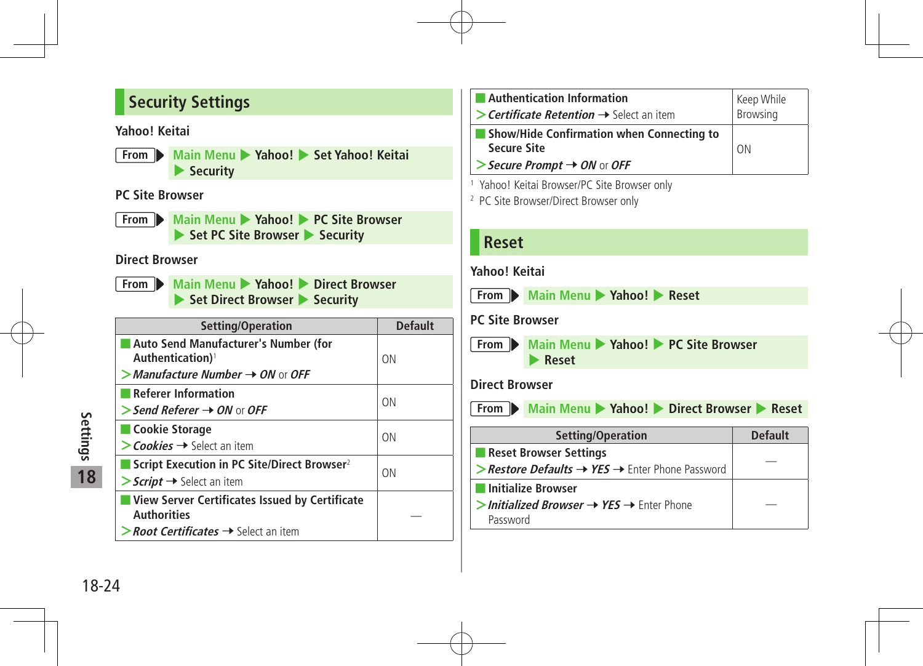### **Security Settings**

#### **Yahoo! Keitai**

**From** Main Menu > Yahoo! > Set Yahoo! Keitai 4 **Security**

#### **PC Site Browser**

**From Main Menu > Yahoo! PC Site Browser ► Set PC Site Browser ▶ Security** 

#### **Direct Browser**

**From Main Menu > Yahoo! > Direct Browser ► Set Direct Browser ▶ Security** 

| Setting/Operation                                                                 | <b>Default</b> |  |
|-----------------------------------------------------------------------------------|----------------|--|
| Auto Send Manufacturer's Number (for<br>Authentication) <sup>1</sup>              | ON             |  |
| $>$ Manufacture Number $\rightarrow$ ON or OFF                                    |                |  |
| <b>Referer Information</b>                                                        | ON             |  |
| $>$ Send Referer $\rightarrow$ ON or OFF                                          |                |  |
| Cookie Storage                                                                    | ON             |  |
| $\gt$ Cookies $\rightarrow$ Select an item                                        |                |  |
| Script Execution in PC Site/Direct Browser <sup>2</sup>                           | ON             |  |
| $\triangleright$ Script $\rightarrow$ Select an item                              |                |  |
| View Server Certificates Issued by Certificate<br><b>Authorities</b>              |                |  |
| $\triangleright$ <b>Root Certificates <math>\rightarrow</math></b> Select an item |                |  |

| <b>Example 1 Authentication Information</b><br>> Certificate Retention $\rightarrow$ Select an item | Keep While<br>Browsing |
|-----------------------------------------------------------------------------------------------------|------------------------|
| <b>Show/Hide Confirmation when Connecting to</b><br><b>Secure Site</b>                              | 0 <sub>N</sub>         |
| Secure Prompt $\rightarrow$ ON or OFF                                                               |                        |

<sup>1</sup> Yahoo! Keitai Browser/PC Site Browser only

<sup>2</sup> PC Site Browser/Direct Browser only

| <b>Reset</b>                                                                                      |                                                                                                  |                |  |  |
|---------------------------------------------------------------------------------------------------|--------------------------------------------------------------------------------------------------|----------------|--|--|
| Yahoo! Keitai                                                                                     |                                                                                                  |                |  |  |
|                                                                                                   | From Main Menu Yahoo! Reset                                                                      |                |  |  |
| <b>PC Site Browser</b>                                                                            |                                                                                                  |                |  |  |
|                                                                                                   | From Main Menu > Yahoo! > PC Site Browser<br>Reset                                               |                |  |  |
| <b>Direct Browser</b>                                                                             |                                                                                                  |                |  |  |
|                                                                                                   | From Main Menu > Yahoo! > Direct Browser > Reset                                                 |                |  |  |
|                                                                                                   | Setting/Operation                                                                                | <b>Default</b> |  |  |
| Reset Browser Settings<br>> Restore Defaults $\rightarrow$ YES $\rightarrow$ Enter Phone Password |                                                                                                  |                |  |  |
|                                                                                                   | <b>Initialize Browser</b><br>$>$ Initialized Browser $\rightarrow$ YES $\rightarrow$ Enter Phone |                |  |  |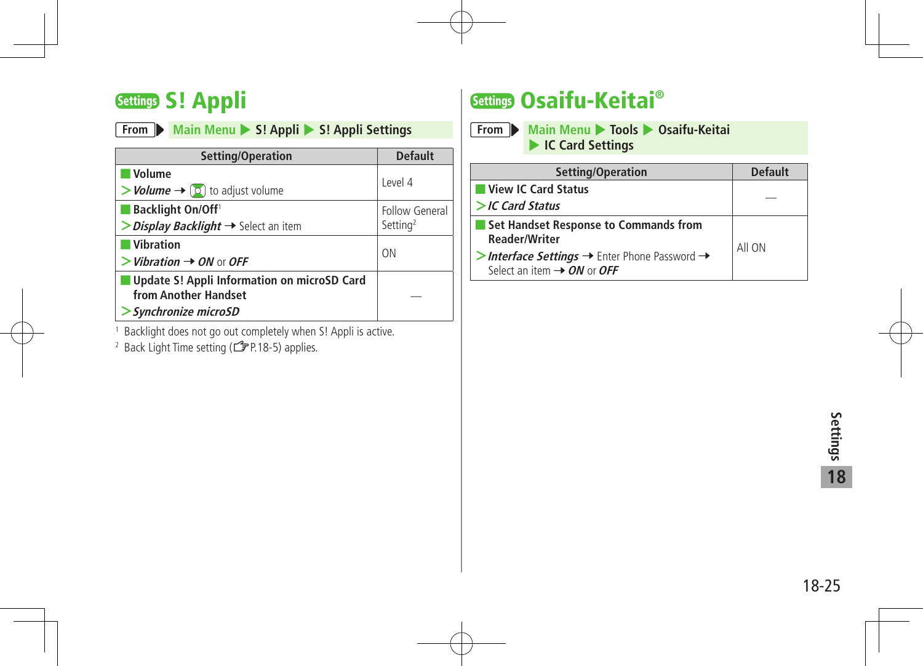### Settings S! Appli

|  |  |  |  | From Main Menu > S! Appli > S! Appli Settings |
|--|--|--|--|-----------------------------------------------|
|--|--|--|--|-----------------------------------------------|

| Setting/Operation                                                                          | <b>Default</b>                         |
|--------------------------------------------------------------------------------------------|----------------------------------------|
| <b>Volume</b><br>$\rightarrow$ <i>Volume</i> $\rightarrow$ [0] to adjust volume            | Level 4                                |
| <b>Backlight On/Off</b><br>$\triangleright$ Display Backlight $\rightarrow$ Select an item | Follow General<br>Setting <sup>2</sup> |
| <b>Vibration</b><br>$>$ Vibration $\rightarrow$ ON or OFF                                  | ON                                     |
| Update S! Appli Information on microSD Card<br>from Another Handset<br>Synchronize microSD |                                        |

- 1 Backlight does not go out completely when S! Appli is active.
- <sup>2</sup> Back Light Time setting (<del>了</del>P.18-5) applies.

### Settings Osaifu-Keitai®

**From Main Menu** 4 **Tools** 4 **Osaifu-Keitai**  4 **IC Card Settings**

| Setting/Operation                                                    | <b>Default</b> |
|----------------------------------------------------------------------|----------------|
| View IC Card Status                                                  |                |
| $>$ IC Card Status                                                   |                |
| Set Handset Response to Commands from                                |                |
| <b>Reader/Writer</b>                                                 | All ON         |
| >Interface Settings $\rightarrow$ Enter Phone Password $\rightarrow$ |                |
| Select an item $\rightarrow$ ON or OFF                               |                |

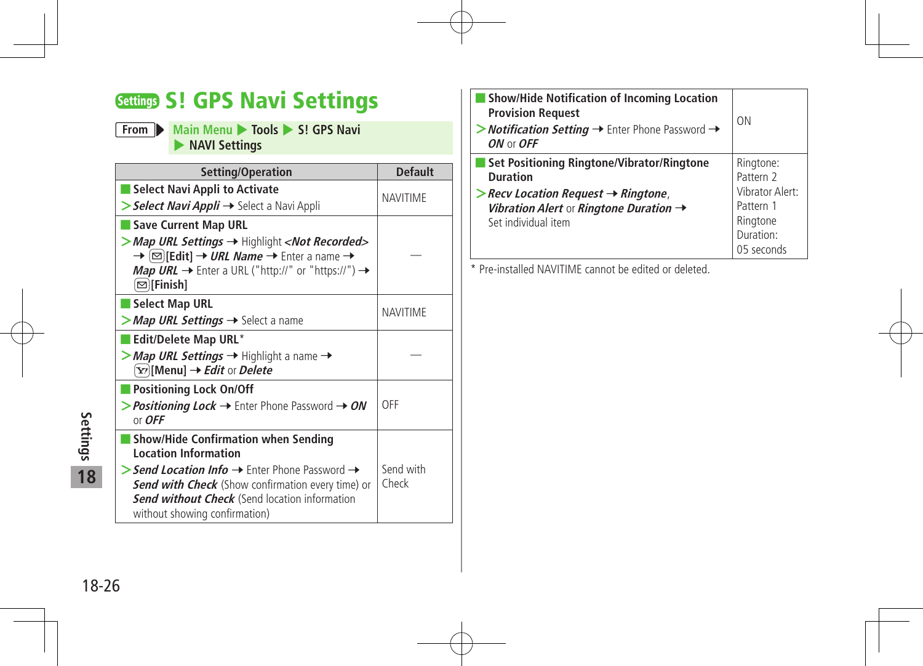### Settings S! GPS Navi Settings

#### **From Main Menu 1** Tools **4** S! GPS Navi 4 **NAVI Settings**

| Setting/Operation                                                                                                                                                                                                                                                                                                                                                           | <b>Default</b>     |
|-----------------------------------------------------------------------------------------------------------------------------------------------------------------------------------------------------------------------------------------------------------------------------------------------------------------------------------------------------------------------------|--------------------|
| <b>Select Navi Appli to Activate</b><br>> Select Navi Appli → Select a Navi Appli                                                                                                                                                                                                                                                                                           | <b>NAVITIME</b>    |
| <b>Save Current Map URL</b><br>> Map URL Settings → Highlight <not recorded=""><br/><math>\rightarrow \Box</math> [Edit] <math>\rightarrow</math> <i>URL Name</i> <math>\rightarrow</math> Enter a name <math>\rightarrow</math><br/>Map URL <math>\rightarrow</math> Enter a URL ("http://" or "https://") <math>\rightarrow</math><br/><math>\infty</math> [Finish]</not> |                    |
| <b>Select Map URL</b><br><b>Map URL Settings <math>\rightarrow</math></b> Select a name                                                                                                                                                                                                                                                                                     | <b>NAVITIME</b>    |
| Edit/Delete Map URL*<br>> Map URL Settings $→$ Highlight a name $→$<br>$\boxed{\mathbf{Y}}$ [Menu] $\rightarrow$ <i>Edit</i> or <i>Delete</i>                                                                                                                                                                                                                               |                    |
| <b>Positioning Lock On/Off</b><br><b>&gt; Positioning Lock <math>\rightarrow</math> Enter Phone Password <math>\rightarrow</math> ON</b><br>or $OFF$                                                                                                                                                                                                                        | OFF                |
| <b>Show/Hide Confirmation when Sending</b><br><b>Location Information</b><br>> Send Location Info $\rightarrow$ Enter Phone Password $\rightarrow$<br><b>Send with Check</b> (Show confirmation every time) or<br><b>Send without Check</b> (Send location information<br>without showing confirmation)                                                                     | Send with<br>Check |

| <b>Show/Hide Notification of Incoming Location</b><br><b>Provision Request</b><br>> <b>Notification Setting <math>\rightarrow</math></b> Enter Phone Password $\rightarrow$<br>$ON$ or $OFF$                 | 0 <sub>N</sub>                                                                                       |
|--------------------------------------------------------------------------------------------------------------------------------------------------------------------------------------------------------------|------------------------------------------------------------------------------------------------------|
| Set Positioning Ringtone/Vibrator/Ringtone<br><b>Duration</b><br>$\triangleright$ Recv Location Request $\rightarrow$ Ringtone,<br>Vibration Alert or Ringtone Duration $\rightarrow$<br>Set individual item | Ringtone:<br>Pattern 2<br><b>Vibrator Alert:</b><br>Pattern 1<br>Ringtone<br>Duration:<br>05 seconds |

\* Pre-installed NAVITIME cannot be edited or deleted.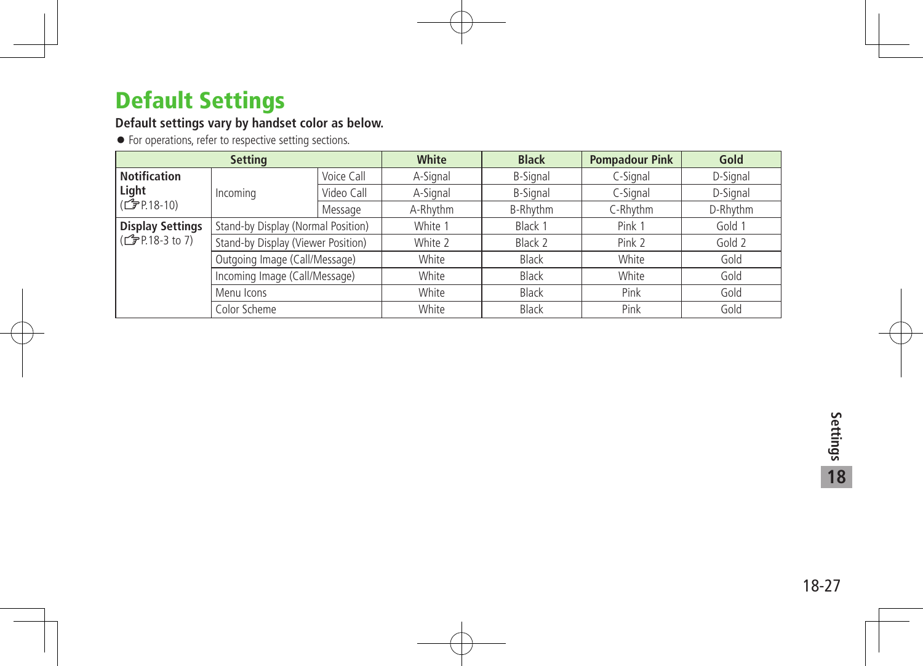### Default Settings

#### **Default settings vary by handset color as below.**

For operations, refer to respective setting sections.

| <b>Setting</b>                            |                                    |            | White        | <b>Black</b>    | <b>Pompadour Pink</b> | Gold     |
|-------------------------------------------|------------------------------------|------------|--------------|-----------------|-----------------------|----------|
| <b>Notification</b>                       |                                    | Voice Call | A-Signal     | <b>B-Signal</b> | C-Signal              | D-Signal |
| Light<br>$\mathcal{L}$ P.18-10)           | Incoming                           | Video Call | A-Signal     | <b>B-Signal</b> | C-Signal              | D-Signal |
|                                           |                                    | Message    | A-Rhythm     | B-Rhythm        | C-Rhythm              | D-Rhythm |
| <b>Display Settings</b><br>(子P.18-3 to 7) | Stand-by Display (Normal Position) |            | White 1      | Black 1         | Pink 1                | Gold 1   |
|                                           | Stand-by Display (Viewer Position) |            | White 2      | Black 2         | Pink 2                | Gold 2   |
|                                           | Outgoing Image (Call/Message)      |            | White        | <b>Black</b>    | White                 | Gold     |
|                                           | Incoming Image (Call/Message)      |            | White        | <b>Black</b>    | White                 | Gold     |
|                                           | Menu Icons                         |            | White        | Black           | Pink                  | Gold     |
| Color Scheme                              |                                    | White      | <b>Black</b> | Pink            | Gold                  |          |